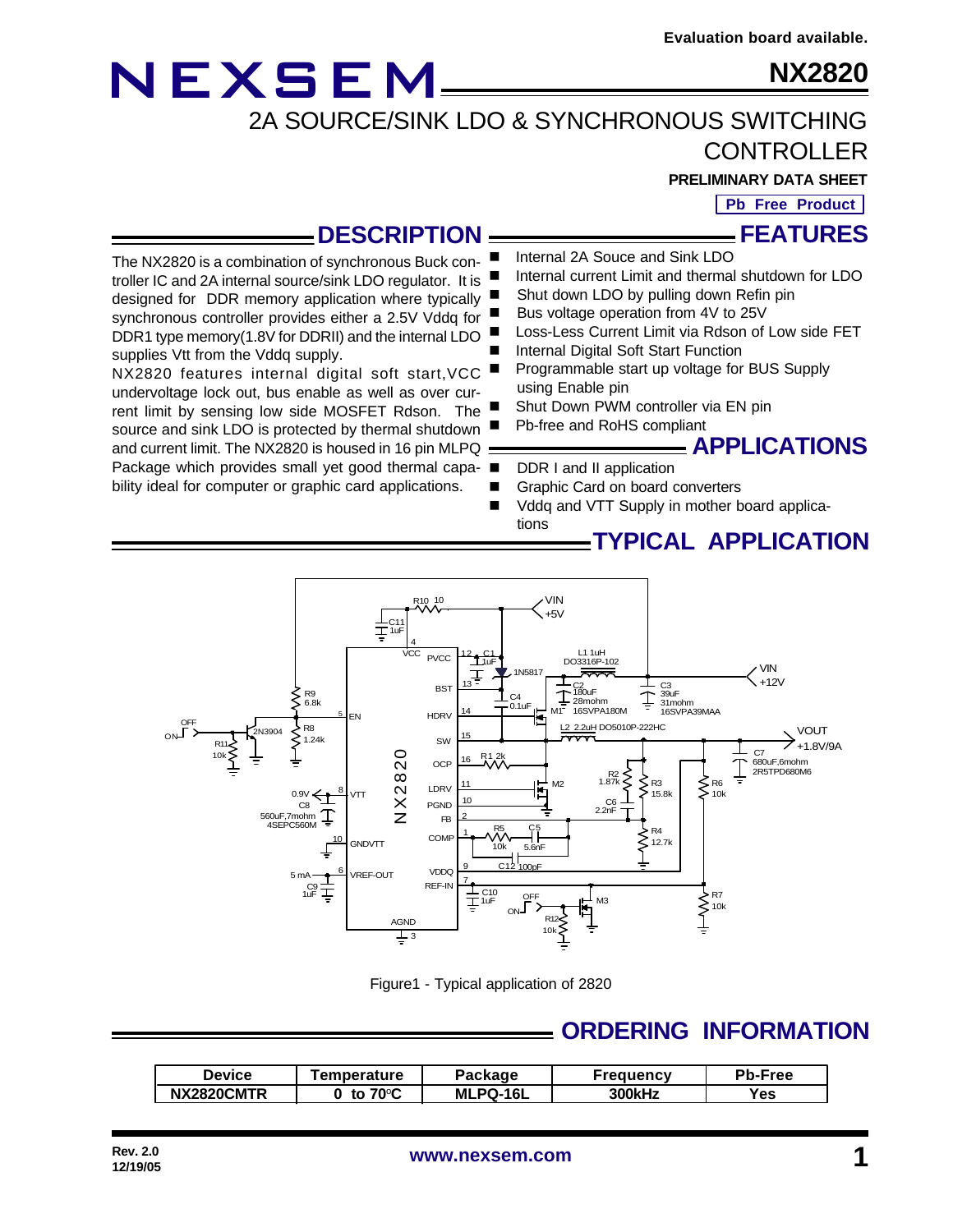### **NX2820**

2A SOURCE/SINK LDO & SYNCHRONOUS SWITCHING

CONTROLLER

**PRELIMINARY DATA SHEET**

**Pb Free Product**

**FEATURES**

### **DESCRIPTION**

The NX2820 is a combination of synchronous Buck controller IC and 2A internal source/sink LDO regulator. It is designed for DDR memory application where typically synchronous controller provides either a 2.5V Vddq for DDR1 type memory(1.8V for DDRII) and the internal LDO supplies Vtt from the Vddq supply. NX2820 features internal digital soft start,VCC undervoltage lock out, bus enable as well as over cur-

**NEXSEM** 

rent limit by sensing low side MOSFET Rdson. The source and sink LDO is protected by thermal shutdown and current limit. The NX2820 is housed in 16 pin MLPQ  $=$ Package which provides small yet good thermal capa- ■

bility ideal for computer or graphic card applications.

- Internal 2A Souce and Sink LDO
- Internal current Limit and thermal shutdown for LDO
- Shut down LDO by pulling down Refin pin
- Bus voltage operation from 4V to 25V
- Loss-Less Current Limit via Rdson of Low side FET Internal Digital Soft Start Function
- Programmable start up voltage for BUS Supply using Enable pin
- Shut Down PWM controller via EN pin
	- Pb-free and RoHS compliant

**APPLICATIONS**

**TYPICAL APPLICATION**

- DDR I and II application
- Graphic Card on board converters
- Vddq and VTT Supply in mother board applications



Figure1 - Typical application of 2820

### **ORDERING INFORMATION**

| Device     | Temperature                | Package         | Freauencv     | <b>Pb-Free</b> |
|------------|----------------------------|-----------------|---------------|----------------|
| NX2820CMTR | to 70 $\mathrm{^{\circ}C}$ | <b>MLPQ-16L</b> | <b>300kHz</b> | Yes            |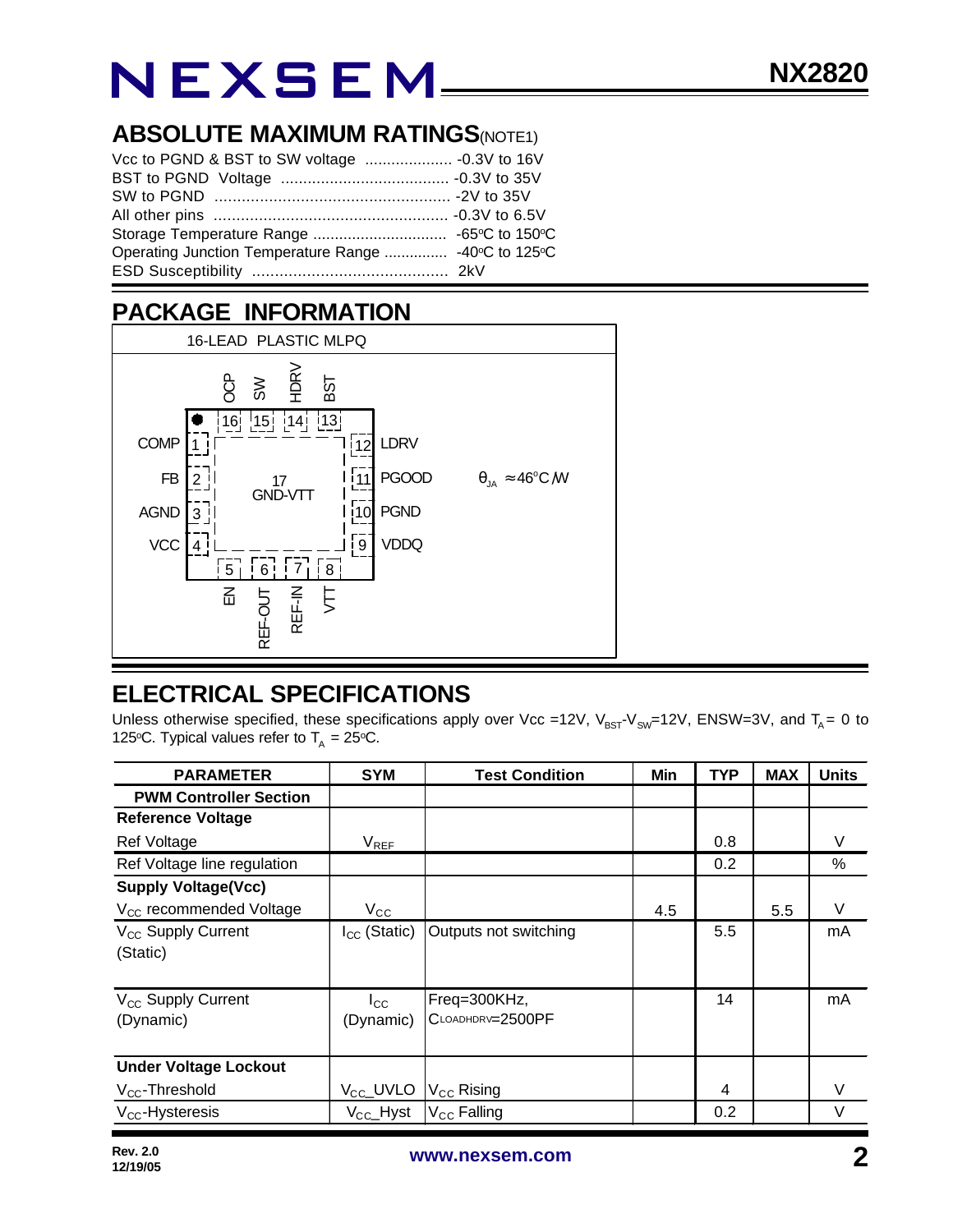### **ABSOLUTE MAXIMUM RATINGS(NOTE1)**

| Operating Junction Temperature Range  -40°C to 125°C |  |
|------------------------------------------------------|--|
|                                                      |  |

### **PACKAGE INFORMATION**



### **ELECTRICAL SPECIFICATIONS**

Unless otherwise specified, these specifications apply over Vcc =12V,  $V_{BST}V_{SW}=12V$ , ENSW=3V, and T<sub>A</sub> = 0 to 125°C. Typical values refer to  $T_A = 25$ °C.

| <b>PARAMETER</b>                            | <b>SYM</b>                | <b>Test Condition</b>            | Min | <b>TYP</b> | <b>MAX</b> | <b>Units</b> |
|---------------------------------------------|---------------------------|----------------------------------|-----|------------|------------|--------------|
| <b>PWM Controller Section</b>               |                           |                                  |     |            |            |              |
| <b>Reference Voltage</b>                    |                           |                                  |     |            |            |              |
| <b>Ref Voltage</b>                          | $V_{REF}$                 |                                  |     | 0.8        |            | V            |
| Ref Voltage line regulation                 |                           |                                  |     | 0.2        |            | %            |
| <b>Supply Voltage(Vcc)</b>                  |                           |                                  |     |            |            |              |
| V <sub>CC</sub> recommended Voltage         | $V_{\rm CC}$              |                                  | 4.5 |            | 5.5        | V            |
| V <sub>CC</sub> Supply Current<br>(Static)  | $I_{CC}$ (Static)         | Outputs not switching            |     | 5.5        |            | mA           |
| V <sub>CC</sub> Supply Current<br>(Dynamic) | $I_{\rm CC}$<br>(Dynamic) | Freq=300KHz,<br>CLOADHDRV=2500PF |     | 14         |            | mA           |
| <b>Under Voltage Lockout</b>                |                           |                                  |     |            |            |              |
| $V_{CC}$ -Threshold                         | V <sub>CC</sub> _UVLO     | $V_{\text{CC}}$ Rising           |     | 4          |            | V            |
| $V_{CC}$ -Hysteresis                        | $V_{\text{CC}}$ Hyst      | V <sub>CC</sub> Falling          |     | 0.2        |            | $\vee$       |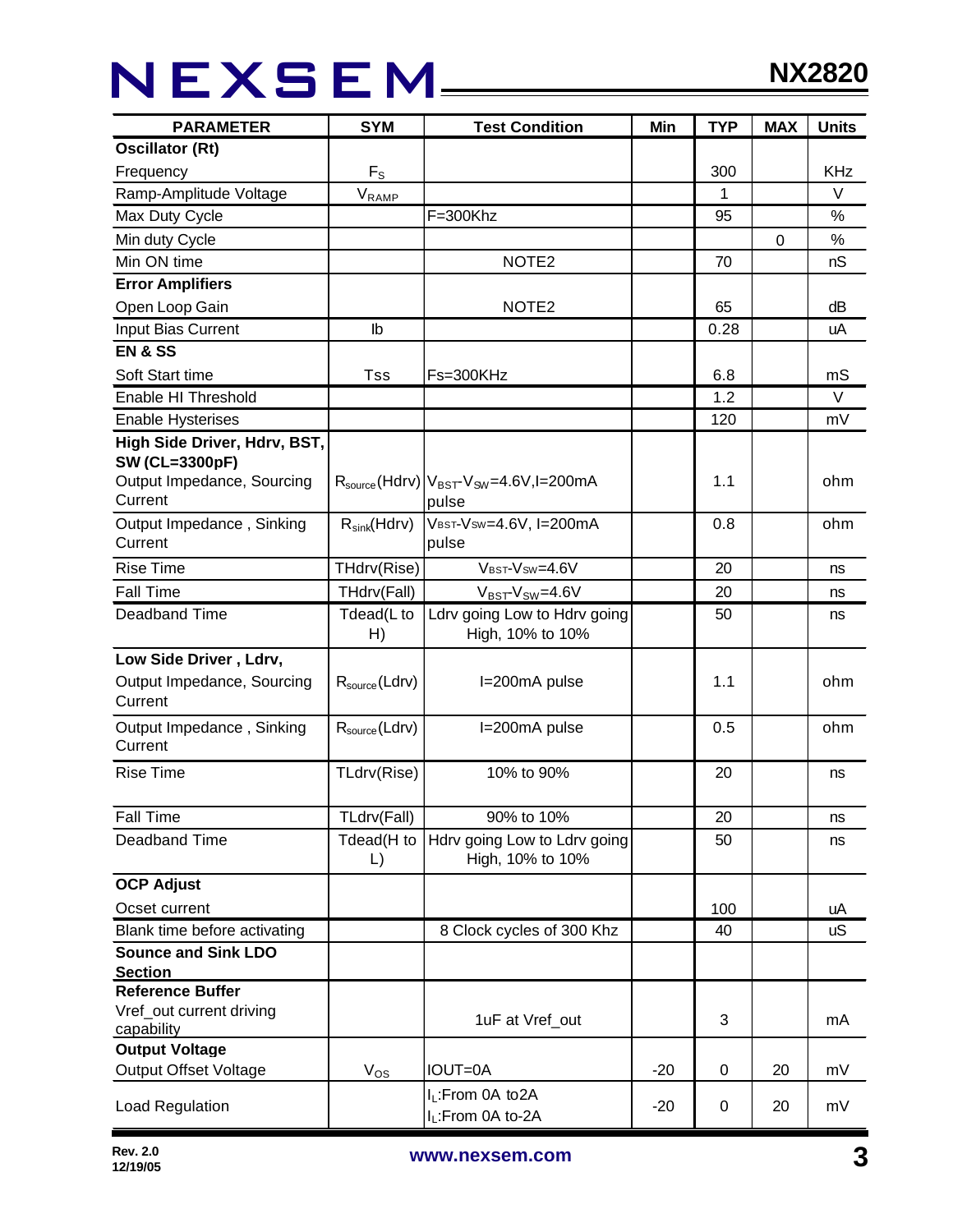## NEXSEM\_\_\_\_

| <b>SYM</b><br><b>PARAMETER</b><br><b>Test Condition</b> |                           | Min                                                                 | <b>TYP</b> | <b>MAX</b> | <b>Units</b> |            |
|---------------------------------------------------------|---------------------------|---------------------------------------------------------------------|------------|------------|--------------|------------|
| <b>Oscillator (Rt)</b>                                  |                           |                                                                     |            |            |              |            |
| Frequency                                               | $F_{S}$                   |                                                                     |            | 300        |              | <b>KHz</b> |
| Ramp-Amplitude Voltage<br>$V_{\text{RAMP}}$             |                           |                                                                     | 1          |            | V            |            |
| Max Duty Cycle                                          |                           | $F = 300$ Khz                                                       |            | 95         |              | %          |
| Min duty Cycle                                          |                           |                                                                     |            |            | $\Omega$     | $\%$       |
| Min ON time                                             |                           | NOTE <sub>2</sub>                                                   |            | 70         |              | nS         |
| <b>Error Amplifiers</b>                                 |                           |                                                                     |            |            |              |            |
| Open Loop Gain                                          |                           | NOTE <sub>2</sub>                                                   |            | 65         |              | dB         |
| Input Bias Current                                      | lb                        |                                                                     |            | 0.28       |              | uA         |
| <b>EN &amp; SS</b>                                      |                           |                                                                     |            |            |              |            |
| Soft Start time                                         | Tss                       | Fs=300KHz                                                           |            | 6.8        |              | mS         |
| Enable HI Threshold                                     |                           |                                                                     |            | 1.2        |              | $\vee$     |
| <b>Enable Hysterises</b>                                |                           |                                                                     |            | 120        |              | mV         |
| High Side Driver, Hdrv, BST,                            |                           |                                                                     |            |            |              |            |
| <b>SW (CL=3300pF)</b>                                   |                           |                                                                     |            |            |              |            |
| Output Impedance, Sourcing                              |                           | $R_{\text{source}}(Hdrv) V_{\text{BST}}V_{\text{SW}}=4.6V, I=200mA$ |            | 1.1        |              | ohm        |
| Current                                                 |                           | pulse                                                               |            |            |              |            |
| Output Impedance, Sinking                               | $R_{sink}(Hdrv)$          | VBST-VSW=4.6V, I=200mA                                              |            | 0.8        |              | ohm        |
| Current                                                 |                           | pulse                                                               |            |            |              |            |
| <b>Rise Time</b>                                        | THdrv(Rise)               | VBST-VSW=4.6V                                                       |            | 20         |              | ns         |
| <b>Fall Time</b>                                        | THdrv(Fall)               | $V_{BST}$ - $V_{SW}$ =4.6V                                          |            | 20         |              | ns         |
| Deadband Time                                           | Tdead(L to                | Ldrv going Low to Hdrv going                                        |            | 50         |              | ns         |
|                                                         | H)                        | High, 10% to 10%                                                    |            |            |              |            |
| Low Side Driver, Ldrv,                                  |                           |                                                                     |            |            |              |            |
| Output Impedance, Sourcing                              | $R_{\text{source}}(Ldrv)$ | I=200mA pulse                                                       |            | 1.1        |              | ohm        |
| Current                                                 |                           |                                                                     |            |            |              |            |
| Output Impedance, Sinking                               | $R_{source}$ (Ldrv)       | I=200mA pulse                                                       |            | 0.5        |              | ohm        |
| Current                                                 |                           |                                                                     |            |            |              |            |
| <b>Rise Time</b>                                        | TLdrv(Rise)               | 10% to 90%                                                          |            | 20         |              | ns         |
|                                                         |                           |                                                                     |            |            |              |            |
| <b>Fall Time</b>                                        | TLdrv(Fall)<br>90% to 10% |                                                                     |            | 20         |              | ns         |
| Deadband Time                                           | Tdead(H to                | Hdrv going Low to Ldrv going                                        |            | 50         |              | ns         |
|                                                         | $\mathsf{L}$              | High, 10% to 10%                                                    |            |            |              |            |
| <b>OCP Adjust</b>                                       |                           |                                                                     |            |            |              |            |
| Ocset current                                           |                           |                                                                     |            | 100        |              | uA         |
| Blank time before activating                            | 8 Clock cycles of 300 Khz |                                                                     |            | 40         |              | <b>uS</b>  |
| <b>Sounce and Sink LDO</b>                              |                           |                                                                     |            |            |              |            |
| <b>Section</b>                                          |                           |                                                                     |            |            |              |            |
| <b>Reference Buffer</b>                                 |                           |                                                                     |            |            |              |            |
| Vref_out current driving                                |                           | 1uF at Vref_out                                                     |            | 3          |              | mA         |
| capability<br><b>Output Voltage</b>                     |                           |                                                                     |            |            |              |            |
| <b>Output Offset Voltage</b>                            | $V_{OS}$                  | IOUT=0A                                                             | $-20$      | 0          | 20           | mV         |
|                                                         |                           | I <sub>L</sub> :From 0A to2A                                        |            |            |              |            |
| Load Regulation                                         |                           | I <sub>L</sub> :From 0A to-2A                                       | $-20$      | 0          | 20           | mV         |
|                                                         |                           |                                                                     |            |            |              |            |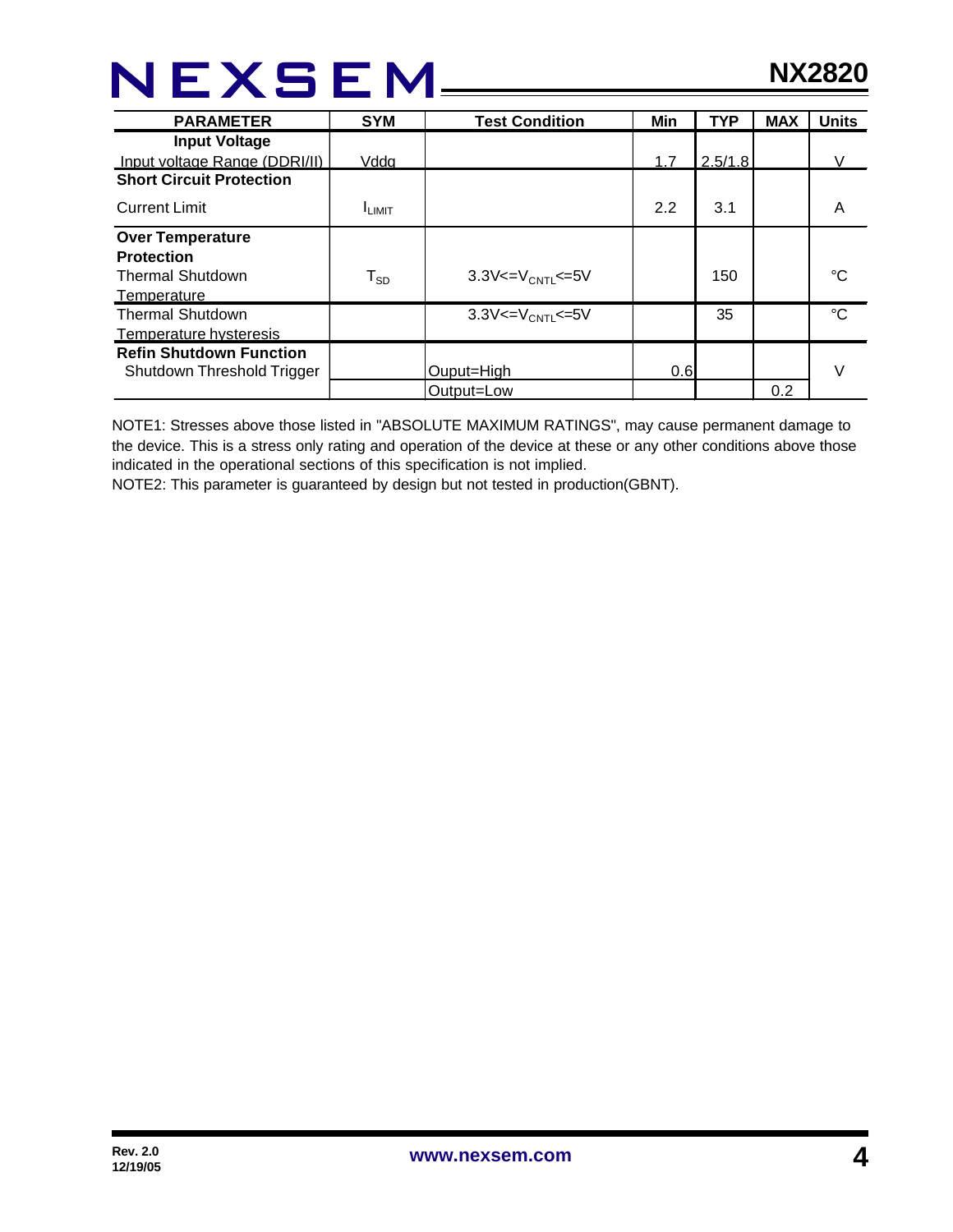| <b>PARAMETER</b>                | <b>SYM</b>              | <b>Test Condition</b>                | Min | <b>TYP</b> | <b>MAX</b> | <b>Units</b> |
|---------------------------------|-------------------------|--------------------------------------|-----|------------|------------|--------------|
| <b>Input Voltage</b>            |                         |                                      |     |            |            |              |
| Input voltage Range (DDRI/II)   | Vdda                    |                                      | 1.7 | 2.5/1.8    |            | V            |
| <b>Short Circuit Protection</b> |                         |                                      |     |            |            |              |
| <b>Current Limit</b>            | <b>ILIMIT</b>           |                                      | 2.2 | 3.1        |            | A            |
| <b>Over Temperature</b>         |                         |                                      |     |            |            |              |
| <b>Protection</b>               |                         |                                      |     |            |            |              |
| <b>Thermal Shutdown</b>         | ${\sf T}_{\textsf{SD}}$ | 3.3V $\lt = V_{\text{CNT}} \lt = 5V$ |     | 150        |            | °C           |
| Temperature                     |                         |                                      |     |            |            |              |
| <b>Thermal Shutdown</b>         |                         | $3.3V < = V_{CNT} \le 5V$            |     | 35         |            | $^{\circ}C$  |
| Temperature hysteresis          |                         |                                      |     |            |            |              |
| <b>Refin Shutdown Function</b>  |                         |                                      |     |            |            |              |
| Shutdown Threshold Trigger      |                         | Ouput=High                           | 0.6 |            |            | V            |
|                                 |                         | Output=Low                           |     |            | 0.2        |              |

NOTE1: Stresses above those listed in "ABSOLUTE MAXIMUM RATINGS", may cause permanent damage to the device. This is a stress only rating and operation of the device at these or any other conditions above those indicated in the operational sections of this specification is not implied.

NOTE2: This parameter is guaranteed by design but not tested in production(GBNT).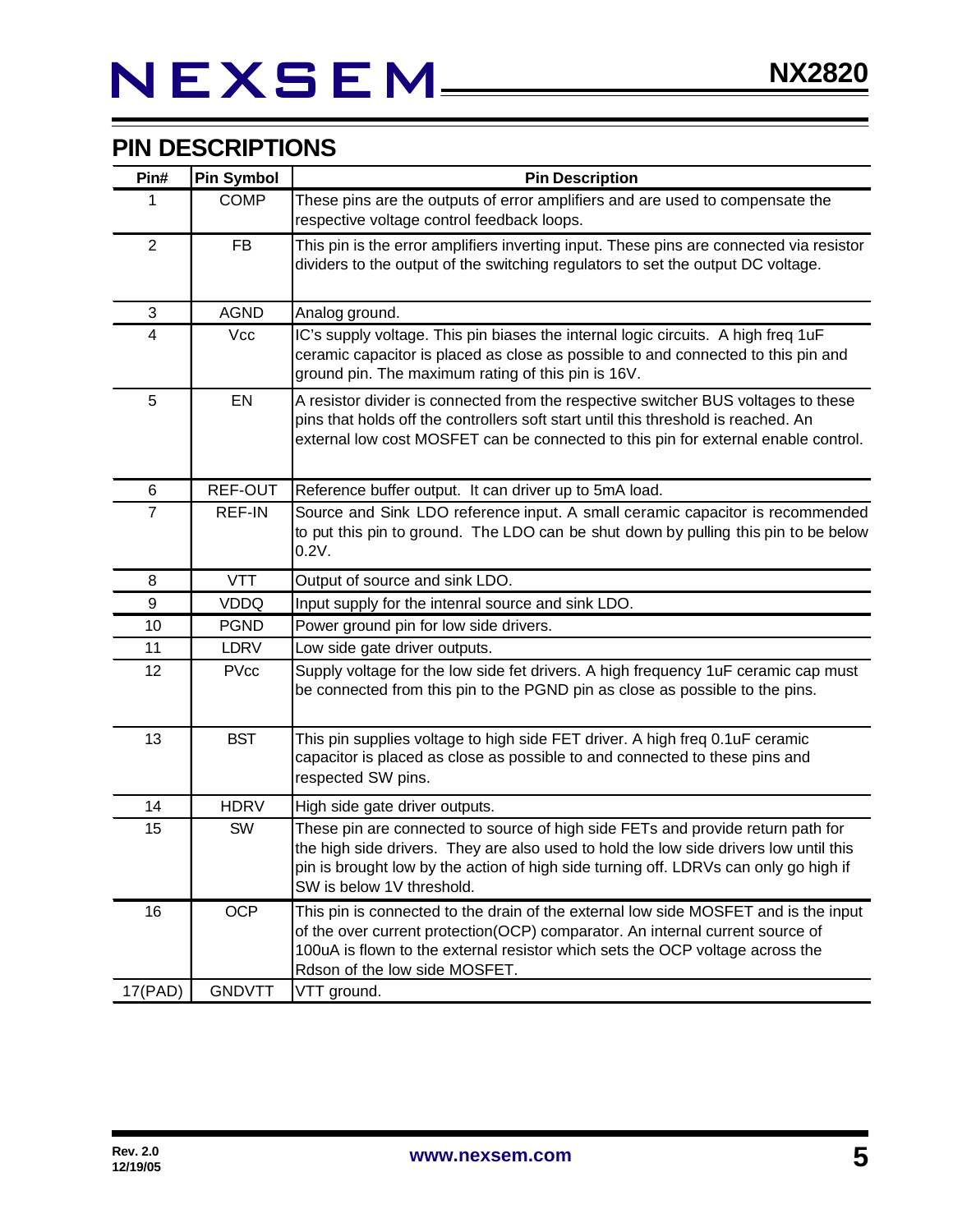### **PIN DESCRIPTIONS**

| Pin#           | <b>Pin Symbol</b> | <b>Pin Description</b>                                                                                                                                                                                                                                                                        |  |  |
|----------------|-------------------|-----------------------------------------------------------------------------------------------------------------------------------------------------------------------------------------------------------------------------------------------------------------------------------------------|--|--|
| 1              | <b>COMP</b>       | These pins are the outputs of error amplifiers and are used to compensate the<br>respective voltage control feedback loops.                                                                                                                                                                   |  |  |
| $\overline{2}$ | <b>FB</b>         | This pin is the error amplifiers inverting input. These pins are connected via resistor<br>dividers to the output of the switching regulators to set the output DC voltage.                                                                                                                   |  |  |
| 3              | <b>AGND</b>       | Analog ground.                                                                                                                                                                                                                                                                                |  |  |
| $\overline{4}$ | Vcc               | IC's supply voltage. This pin biases the internal logic circuits. A high freq 1uF<br>ceramic capacitor is placed as close as possible to and connected to this pin and<br>ground pin. The maximum rating of this pin is 16V.                                                                  |  |  |
| 5              | EN                | A resistor divider is connected from the respective switcher BUS voltages to these<br>pins that holds off the controllers soft start until this threshold is reached. An<br>external low cost MOSFET can be connected to this pin for external enable control.                                |  |  |
| 6              | REF-OUT           | Reference buffer output. It can driver up to 5mA load.                                                                                                                                                                                                                                        |  |  |
| $\overline{7}$ | REF-IN            | Source and Sink LDO reference input. A small ceramic capacitor is recommended<br>to put this pin to ground. The LDO can be shut down by pulling this pin to be below<br>0.2V.                                                                                                                 |  |  |
| 8              | <b>VTT</b>        | Output of source and sink LDO.                                                                                                                                                                                                                                                                |  |  |
| 9              | <b>VDDQ</b>       | Input supply for the intenral source and sink LDO.                                                                                                                                                                                                                                            |  |  |
| 10             | <b>PGND</b>       | Power ground pin for low side drivers.                                                                                                                                                                                                                                                        |  |  |
| 11             | LDRV              | Low side gate driver outputs.                                                                                                                                                                                                                                                                 |  |  |
| 12             | <b>PVcc</b>       | Supply voltage for the low side fet drivers. A high frequency 1uF ceramic cap must<br>be connected from this pin to the PGND pin as close as possible to the pins.                                                                                                                            |  |  |
| 13             | <b>BST</b>        | This pin supplies voltage to high side FET driver. A high freq 0.1uF ceramic<br>capacitor is placed as close as possible to and connected to these pins and<br>respected SW pins.                                                                                                             |  |  |
| 14             | <b>HDRV</b>       | High side gate driver outputs.                                                                                                                                                                                                                                                                |  |  |
| 15             | SW                | These pin are connected to source of high side FETs and provide return path for<br>the high side drivers. They are also used to hold the low side drivers low until this<br>pin is brought low by the action of high side turning off. LDRVs can only go high if<br>SW is below 1V threshold. |  |  |
| 16             | <b>OCP</b>        | This pin is connected to the drain of the external low side MOSFET and is the input<br>of the over current protection(OCP) comparator. An internal current source of<br>100uA is flown to the external resistor which sets the OCP voltage across the<br>Rdson of the low side MOSFET.        |  |  |
| 17(PAD)        | <b>GNDVTT</b>     | VTT ground.                                                                                                                                                                                                                                                                                   |  |  |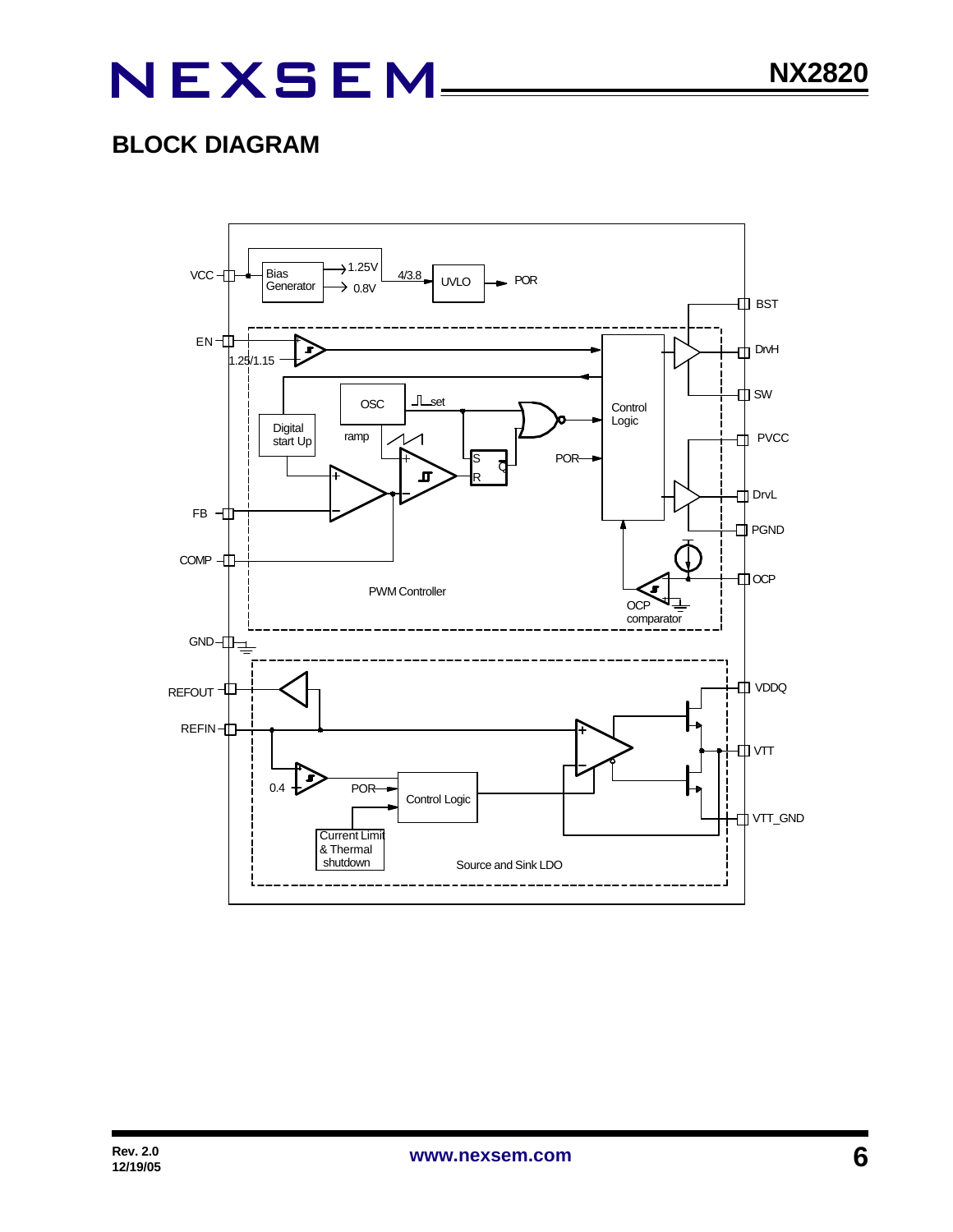### **BLOCK DIAGRAM**

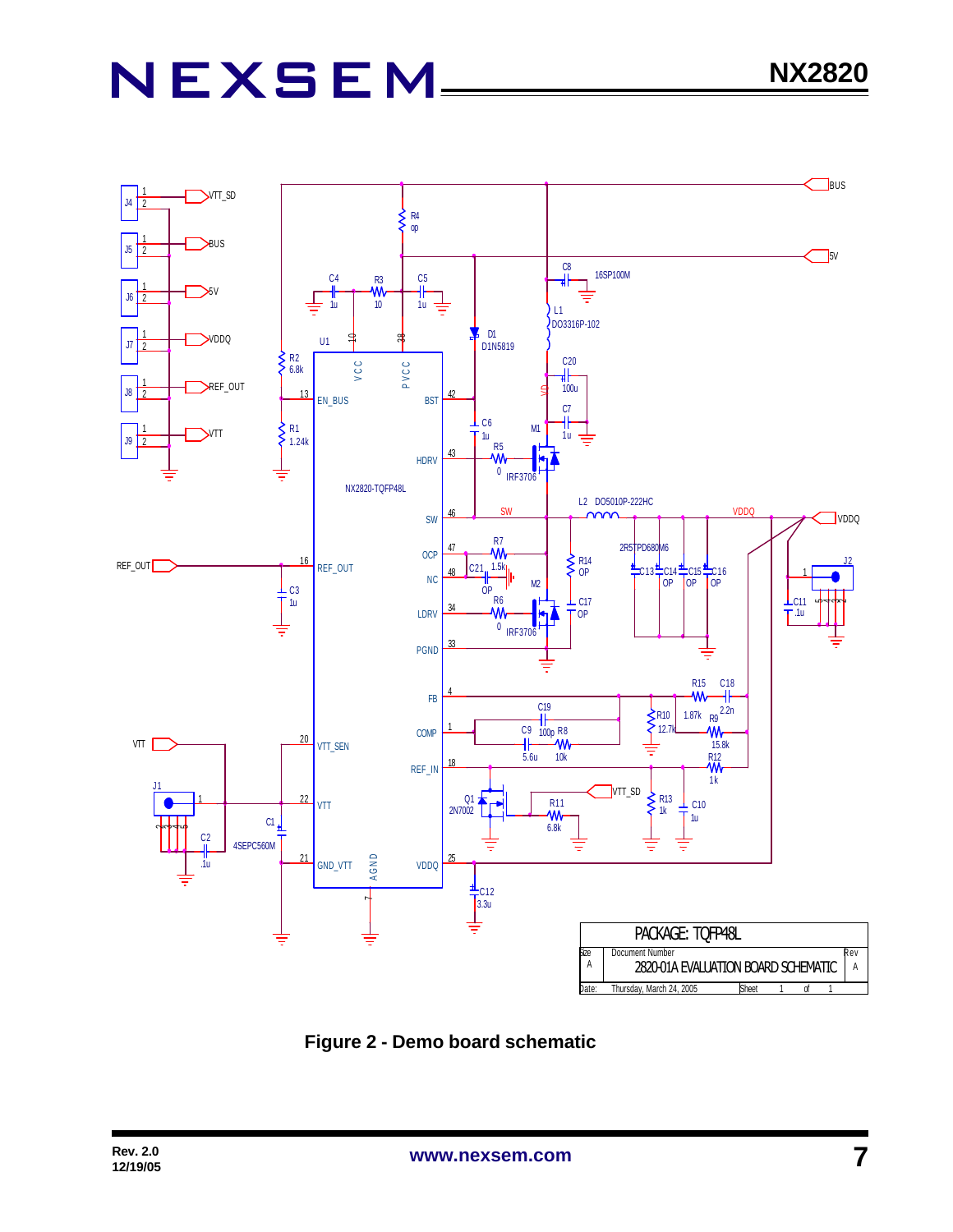

 **Figure 2 - Demo board schematic**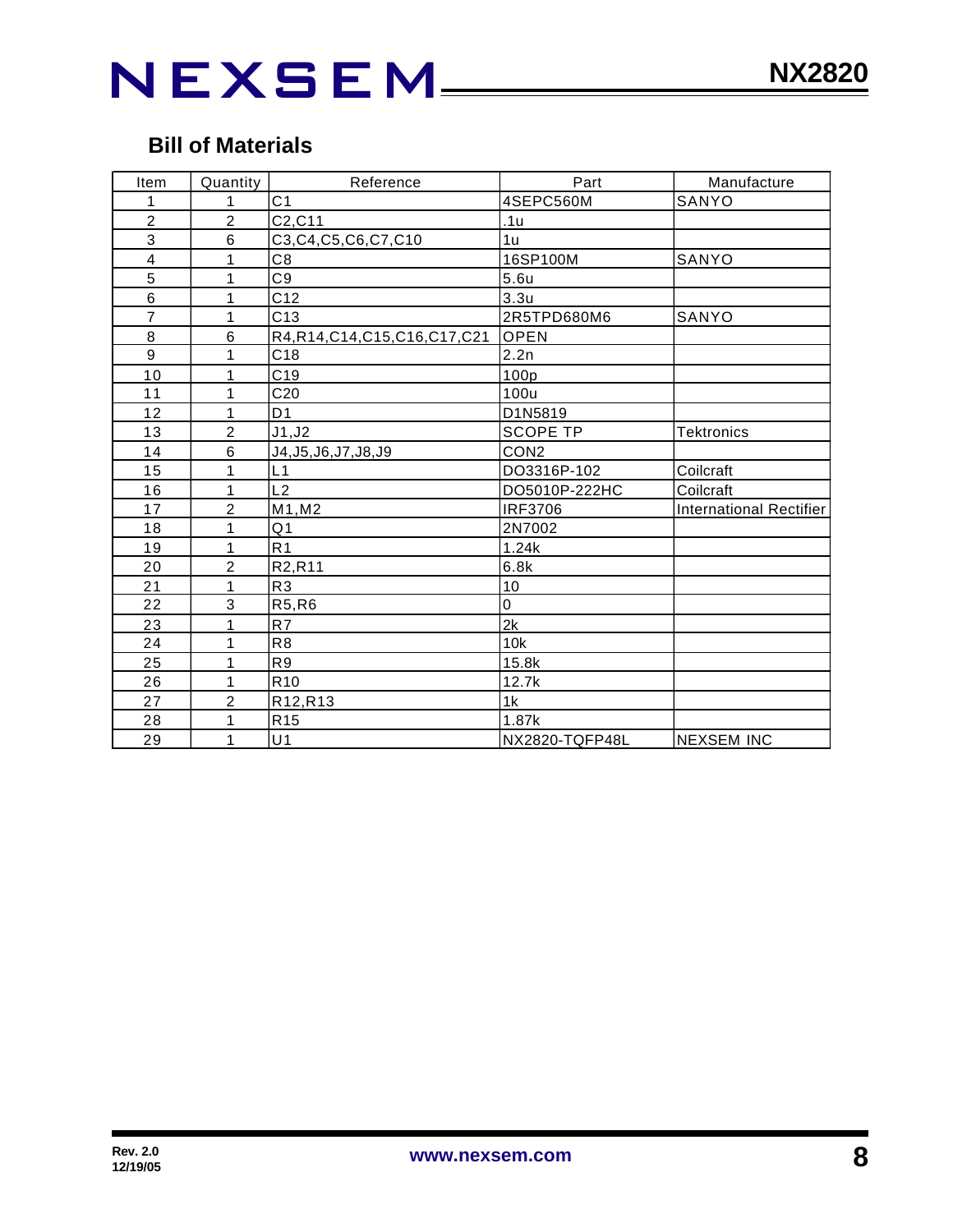### NEXSEM\_\_

### **Bill of Materials**

| Item           | Quantity       | Reference                        | Part             | Manufacture                    |
|----------------|----------------|----------------------------------|------------------|--------------------------------|
| 1              | 1              | C <sub>1</sub>                   | 4SEPC560M        | SANYO                          |
| $\overline{c}$ | $\overline{2}$ | C2, C11                          | .1u              |                                |
| $\overline{3}$ | 6              | C3, C4, C5, C6, C7, C10          | 1u               |                                |
| 4              | 1              | C8                               | 16SP100M         | SANYO                          |
| 5              | 1              | C <sub>9</sub>                   | 5.6u             |                                |
| $\,6$          | 1              | C12                              | 3.3 <sub>u</sub> |                                |
| $\overline{7}$ | $\mathbf{1}$   | C13                              | 2R5TPD680M6      | SANYO                          |
| 8              | 6              | R4, R14, C14, C15, C16, C17, C21 | <b>OPEN</b>      |                                |
| 9              | 1              | C <sub>18</sub>                  | 2.2n             |                                |
| 10             | 1              | C <sub>19</sub>                  | 100p             |                                |
| 11             | 1              | C <sub>20</sub>                  | 100u             |                                |
| 12             | 1              | D <sub>1</sub>                   | D1N5819          |                                |
| 13             | $\overline{2}$ | J1, J2                           | <b>SCOPE TP</b>  | <b>Tektronics</b>              |
| 14             | 6              | J4, J5, J6, J7, J8, J9           | CON <sub>2</sub> |                                |
| 15             | 1              | L1                               | DO3316P-102      | Coilcraft                      |
| 16             | 1              | L2                               | DO5010P-222HC    | Coilcraft                      |
| 17             | $\overline{2}$ | M1, M2                           | <b>IRF3706</b>   | <b>International Rectifier</b> |
| 18             | 1              | Q <sub>1</sub>                   | 2N7002           |                                |
| 19             | 1              | R <sub>1</sub>                   | 1.24k            |                                |
| 20             | $\overline{c}$ | R <sub>2</sub> ,R <sub>11</sub>  | 6.8k             |                                |
| 21             | 1              | R <sub>3</sub>                   | 10               |                                |
| 22             | 3              | R5, R6                           | 0                |                                |
| 23             | 1              | R7                               | 2k               |                                |
| 24             | 1              | R <sub>8</sub>                   | 10k              |                                |
| 25             | 1              | R <sub>9</sub>                   | 15.8k            |                                |
| 26             | $\mathbf{1}$   | R <sub>10</sub>                  | 12.7k            |                                |
| 27             | $\overline{2}$ | R12, R13                         | 1k               |                                |
| 28             | 1              | R <sub>15</sub>                  | 1.87k            |                                |
| 29             | 1              | U <sub>1</sub>                   | NX2820-TQFP48L   | <b>NEXSEM INC</b>              |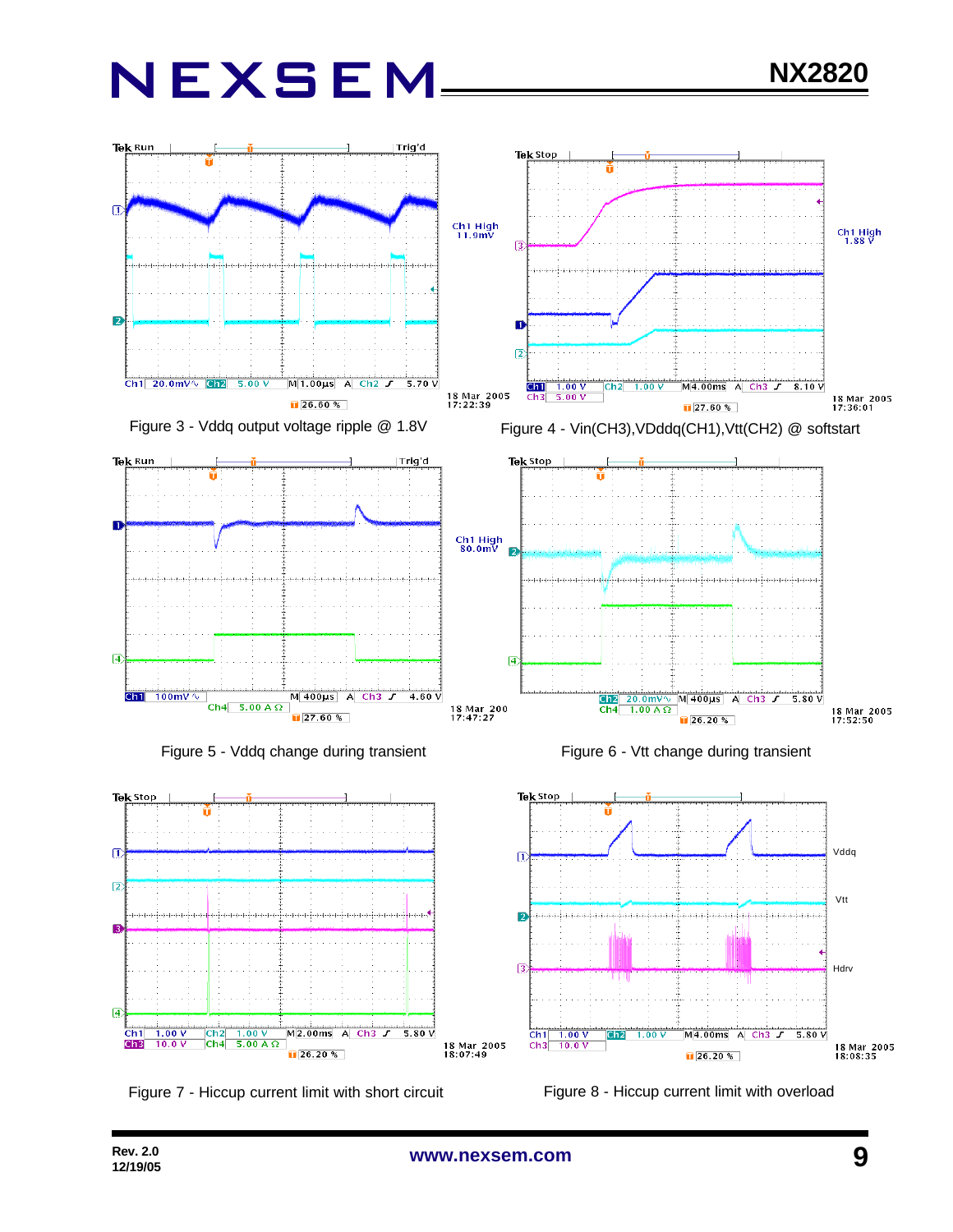

Figure 5 - Vddq change during transient





Figure 6 - Vtt change during transient



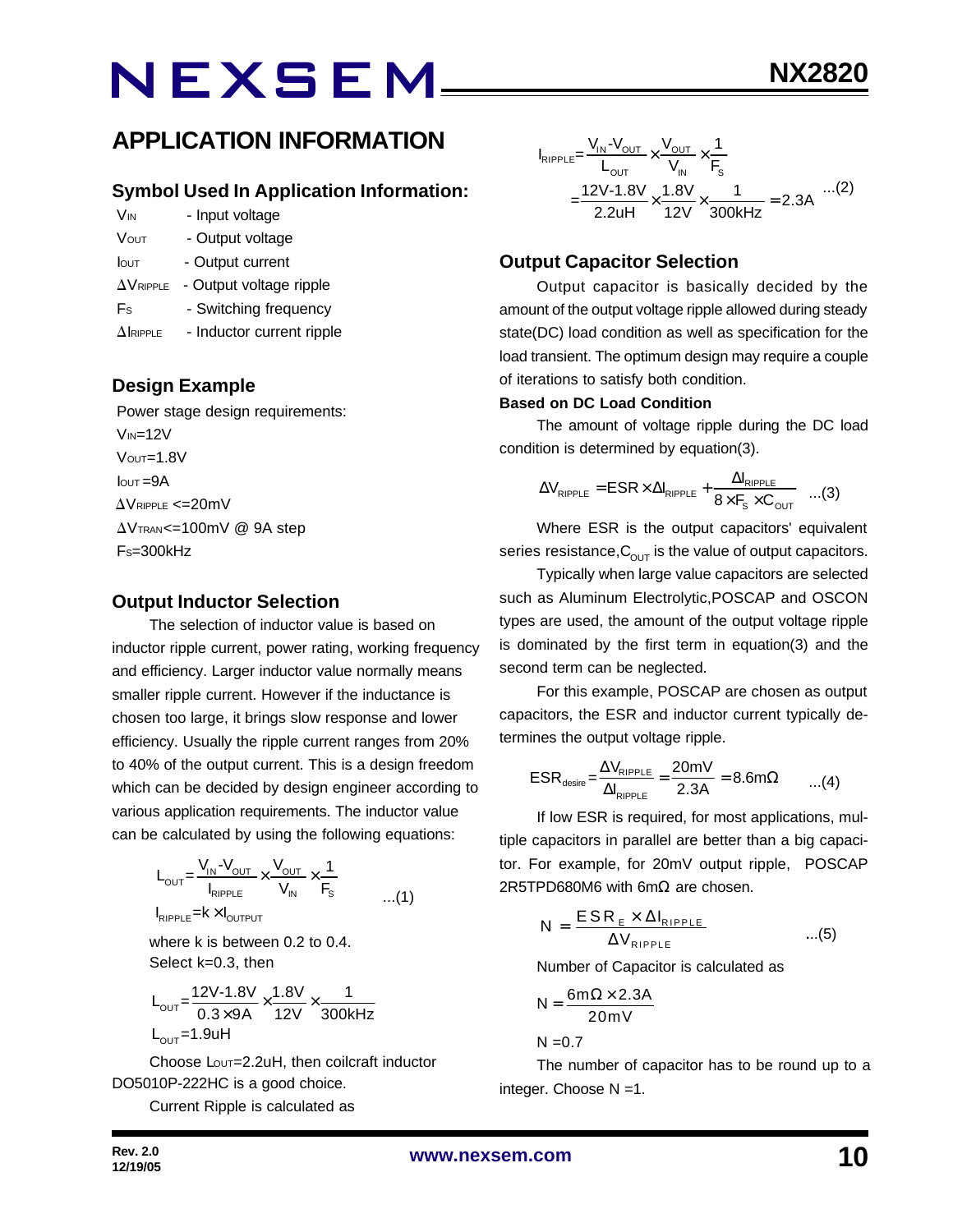### **APPLICATION INFORMATION**

#### **Symbol Used In Application Information:**

- V<sub>IN</sub> Input voltage
- VOUT Output voltage
- Iout Output current
- $\Delta V_{RIPPLE}$  Output voltage ripple
- Fs Switching frequency
- $\Delta$ IRIPPLE Inductor current ripple

#### **Design Example**

 Power stage design requirements:  $V_{IN}=12V$  VOUT=1.8V  $I<sub>OUT</sub> = 9A$  $\Delta$ VRIPPLE <=20mV  $\Delta V$ TRAN<=100mV @ 9A step  $Fs = 300kHz$ 

#### **Output Inductor Selection**

The selection of inductor value is based on inductor ripple current, power rating, working frequency and efficiency. Larger inductor value normally means smaller ripple current. However if the inductance is chosen too large, it brings slow response and lower efficiency. Usually the ripple current ranges from 20% to 40% of the output current. This is a design freedom which can be decided by design engineer according to various application requirements. The inductor value can be calculated by using the following equations:

$$
L_{\text{OUT}} = \frac{V_{\text{IN}} - V_{\text{OUT}}}{I_{\text{RIPPLE}}} \times \frac{V_{\text{OUT}}}{V_{\text{IN}}} \times \frac{1}{F_{\text{S}}}
$$
...(1)

where k is between 0.2 to 0.4. Select k=0.3, then

$$
L_{\text{OUT}} = \frac{12V - 1.8V}{0.3 \times 9A} \times \frac{1.8V}{12V} \times \frac{1}{300kHz}
$$
  
L\_{\text{OUT}} = 1.9uH

Choose Lout=2.2uH, then coilcraft inductor DO5010P-222HC is a good choice.

Current Ripple is calculated as

$$
I_{RIPPLE} = \frac{V_{IN} - V_{OUT}}{L_{OUT}} \times \frac{V_{OUT}}{V_{IN}} \times \frac{1}{F_s}
$$
  
= 
$$
\frac{12V - 1.8V}{2.2uH} \times \frac{1.8V}{12V} \times \frac{1}{300kHz} = 2.3A
$$
...(2)

#### **Output Capacitor Selection**

Output capacitor is basically decided by the amount of the output voltage ripple allowed during steady state(DC) load condition as well as specification for the load transient. The optimum design may require a couple of iterations to satisfy both condition.

#### **Based on DC Load Condition**

The amount of voltage ripple during the DC load condition is determined by equation(3).

$$
\Delta V_{\text{RIPPLE}} = \text{ESR} \times \Delta I_{\text{RIPPLE}} + \frac{\Delta I_{\text{RIPPLE}}}{8 \times F_s \times C_{\text{OUT}}} \quad ...(3)
$$

Where ESR is the output capacitors' equivalent series resistance,  $C_{\text{OUT}}$  is the value of output capacitors.

Typically when large value capacitors are selected such as Aluminum Electrolytic,POSCAP and OSCON types are used, the amount of the output voltage ripple is dominated by the first term in equation(3) and the second term can be neglected.

For this example, POSCAP are chosen as output capacitors, the ESR and inductor current typically determines the output voltage ripple.

$$
ESR_{\text{desire}} = \frac{\Delta V_{\text{RIPPLE}}}{\Delta I_{\text{RIPPLE}}} = \frac{20 \text{mV}}{2.3 \text{A}} = 8.6 \text{m}\Omega \qquad ...(4)
$$

If low ESR is required, for most applications, multiple capacitors in parallel are better than a big capacitor. For example, for 20mV output ripple, POSCAP 2R5TPD680M6 with 6mΩ are chosen.

$$
N = \frac{ESR_{E} \times \Delta I_{RIPPLE}}{\Delta V_{RIPPLE}} \qquad ...(5)
$$

Number of Capacitor is calculated as

$$
N = \frac{6m\Omega \times 2.3A}{20mV}
$$

 $N = 0.7$ 

The number of capacitor has to be round up to a integer. Choose N =1.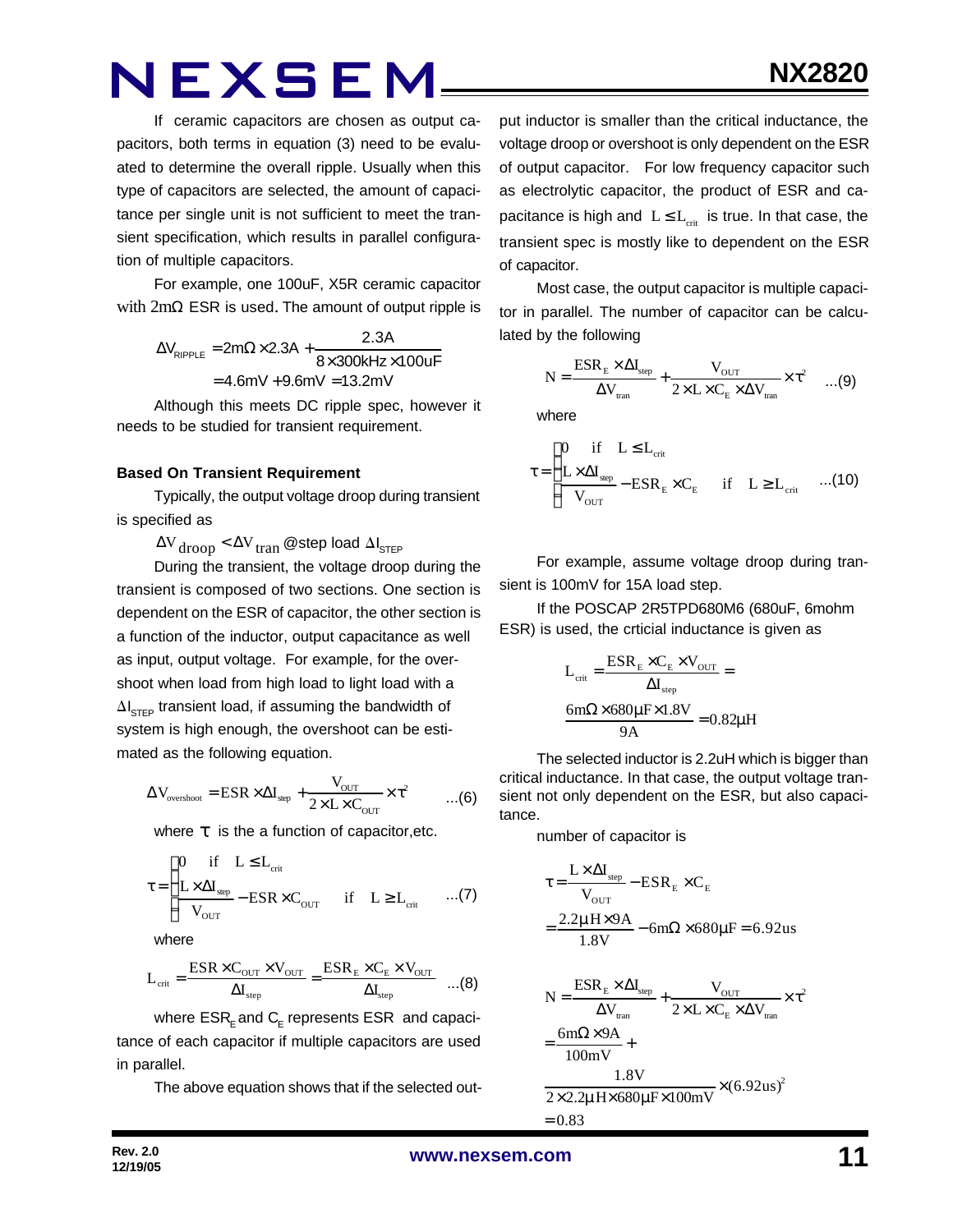If ceramic capacitors are chosen as output capacitors, both terms in equation (3) need to be evaluated to determine the overall ripple. Usually when this type of capacitors are selected, the amount of capacitance per single unit is not sufficient to meet the transient specification, which results in parallel configuration of multiple capacitors.

For example, one 100uF, X5R ceramic capacitor with  $2mΩ$  ESR is used. The amount of output ripple is

> $\Delta V_{\text{pippE}} = 2m\Omega \times 2.3A +$  $V_{\text{RIPPLE}} = 2 \text{m}\Omega \times 2.3 \text{A} + \frac{2.3 \text{A}}{8 \times 300 \text{kHz}}$  $= 4.6$ mV  $+9.6$ mV  $= 13.2$ mV  $8\times 300$ kHz $\times 100$ uF

Although this meets DC ripple spec, however it needs to be studied for transient requirement.

#### **Based On Transient Requirement**

Typically, the output voltage droop during transient is specified as

 $\Delta V_{\rm drop} < \Delta V_{\rm tran}$  @step load  $\Delta I_{\rm STEP}$ 

During the transient, the voltage droop during the transient is composed of two sections. One section is dependent on the ESR of capacitor, the other section is a function of the inductor, output capacitance as well as input, output voltage. For example, for the overshoot when load from high load to light load with a  $\Delta I_{\text{STEP}}$  transient load, if assuming the bandwidth of system is high enough, the overshoot can be estimated as the following equation.

$$
\Delta V_{\text{overshoot}} = \text{ESR} \times \Delta I_{\text{step}} + \frac{V_{\text{OUT}}}{2 \times L \times C_{\text{OUT}}} \times \tau^2 \qquad \dots (6)
$$

where *t* is the a function of capacitor,etc.

$$
\tau = \begin{cases}\n0 & \text{if} \quad L \leq L_{\text{crit}} \\
\frac{L \times \Delta I_{\text{sep}}}{V_{\text{OUT}}} - \text{ESR} \times C_{\text{OUT}} & \text{if} \quad L \geq L_{\text{crit}} \quad \dots (7)\n\end{cases}
$$

where

$$
L_{\rm crit} = \frac{\rm ESR \times C_{\rm OUT} \times V_{\rm OUT}}{\Delta I_{\rm step}} = \frac{\rm ESR_E \times C_E \times V_{\rm OUT}}{\Delta I_{\rm step}} \quad ...(8)
$$

where  $\mathsf{ESR}_\mathsf{E}$  and  $\mathsf{C}_\mathsf{E}$  represents  $\mathsf{ESR}\;$  and capacitance of each capacitor if multiple capacitors are used in parallel.

The above equation shows that if the selected out-

put inductor is smaller than the critical inductance, the voltage droop or overshoot is only dependent on the ESR of output capacitor. For low frequency capacitor such as electrolytic capacitor, the product of ESR and capacitance is high and  $L \leq L_{crit}$  is true. In that case, the transient spec is mostly like to dependent on the ESR of capacitor.

Most case, the output capacitor is multiple capacitor in parallel. The number of capacitor can be calculated by the following

$$
N = \frac{ESR_{E} \times \Delta I_{step}}{\Delta V_{tran}} + \frac{V_{OUT}}{2 \times L \times C_{E} \times \Delta V_{tran}} \times \tau^{2} \quad ...(9)
$$

where

$$
\tau = \begin{cases}\n0 & \text{if} \quad L \leq L_{\text{crit}} \\
\frac{L \times \Delta I_{\text{step}}}{V_{\text{OUT}}} - \text{ESR}_{\text{E}} \times C_{\text{E}} & \text{if} \quad L \geq L_{\text{crit}} \quad ...(10)\n\end{cases}
$$

For example, assume voltage droop during transient is 100mV for 15A load step.

If the POSCAP 2R5TPD680M6 (680uF, 6mohm ESR) is used, the crticial inductance is given as

$$
L_{\text{crit}} = \frac{ESR_{\text{E}} \times C_{\text{E}} \times V_{\text{OUT}}}{\Delta I_{\text{step}}} =
$$

$$
\frac{6m\Omega \times 680\mu\text{F} \times 1.8V}{9A} = 0.82\mu\text{H}
$$

The selected inductor is 2.2uH which is bigger than critical inductance. In that case, the output voltage transient not only dependent on the ESR, but also capacitance.

number of capacitor is

$$
\tau = \frac{L \times \Delta I_{\text{step}}}{V_{\text{OUT}}} - ESR_{E} \times C_{E}
$$

$$
= \frac{2.2 \mu H \times 9A}{1.8 V} - 6m\Omega \times 680 \mu F = 6.92 us
$$

$$
N = \frac{ESR_{E} \times \Delta I_{step}}{\Delta V_{tran}} + \frac{V_{OUT}}{2 \times L \times C_{E} \times \Delta V_{tran}} \times \tau^{2}
$$

$$
= \frac{6m\Omega \times 9A}{100mV} + \frac{1.8V}{2 \times 2.2 \mu H \times 680 \mu F \times 100mV} \times (6.92us)^{2}
$$

$$
= 0.83
$$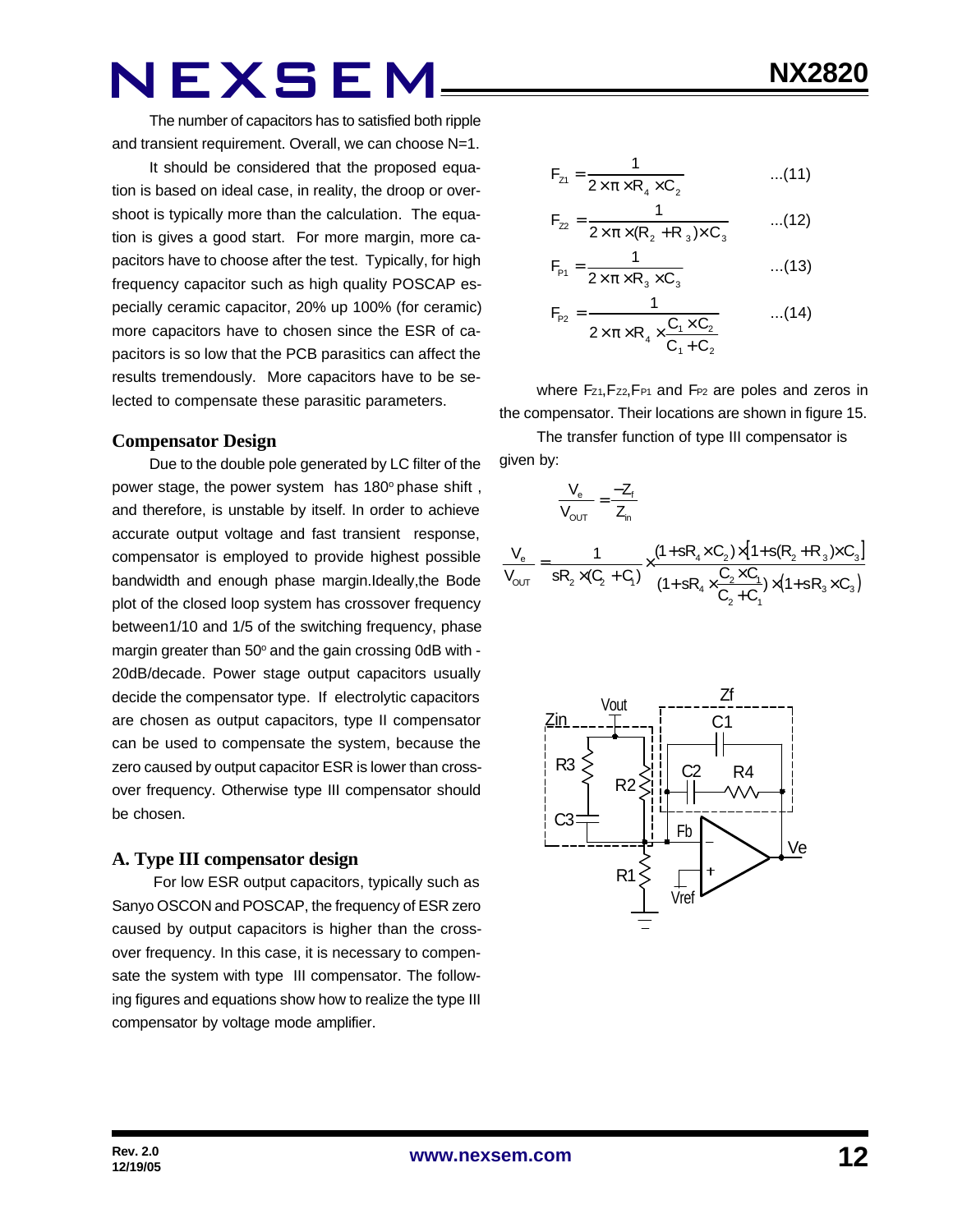The number of capacitors has to satisfied both ripple and transient requirement. Overall, we can choose N=1.

It should be considered that the proposed equation is based on ideal case, in reality, the droop or overshoot is typically more than the calculation. The equation is gives a good start. For more margin, more capacitors have to choose after the test. Typically, for high frequency capacitor such as high quality POSCAP especially ceramic capacitor, 20% up 100% (for ceramic) more capacitors have to chosen since the ESR of capacitors is so low that the PCB parasitics can affect the results tremendously. More capacitors have to be selected to compensate these parasitic parameters.

#### **Compensator Design**

Due to the double pole generated by LC filter of the power stage, the power system has 180° phase shift, and therefore, is unstable by itself. In order to achieve accurate output voltage and fast transient response, compensator is employed to provide highest possible bandwidth and enough phase margin.Ideally,the Bode plot of the closed loop system has crossover frequency between1/10 and 1/5 of the switching frequency, phase margin greater than 50° and the gain crossing 0dB with -20dB/decade. Power stage output capacitors usually decide the compensator type. If electrolytic capacitors are chosen as output capacitors, type II compensator can be used to compensate the system, because the zero caused by output capacitor ESR is lower than crossover frequency. Otherwise type III compensator should be chosen.

#### **A. Type III compensator design**

 For low ESR output capacitors, typically such as Sanyo OSCON and POSCAP, the frequency of ESR zero caused by output capacitors is higher than the crossover frequency. In this case, it is necessary to compensate the system with type III compensator. The following figures and equations show how to realize the type III compensator by voltage mode amplifier.

$$
F_{z1} = \frac{1}{2 \times \pi \times R_4 \times C_2}
$$
...(11)

$$
F_{z2} = \frac{1}{2 \times \pi \times (R_2 + R_3) \times C_3}
$$
...(12)

$$
F_{p_1} = \frac{1}{2 \times \pi \times R_3 \times C_3}
$$
...(13)

$$
F_{P2} = \frac{1}{2 \times \pi \times R_4 \times \frac{C_1 \times C_2}{C_1 + C_2}} \qquad ...(14)
$$

where  $F_{Z1}$ ,  $F_{Z2}$ ,  $F_{P1}$  and  $F_{P2}$  are poles and zeros in the compensator. Their locations are shown in figure 15.

The transfer function of type III compensator is given by:

$$
\frac{V_e}{V_{OUT}} = \frac{-Z_f}{Z_n}
$$
\n
$$
\frac{V_e}{V_{OUT}} = \frac{1}{sR_2 \times (C_2 + C_1)} \times \frac{(1 + sR_4 \times C_2) \times [1 + s(R_2 + R_3) \times C_3]}{(1 + sR_4 \times \frac{C_2 \times C_1}{C_2 + C_1}) \times (1 + sR_3 \times C_3)}
$$

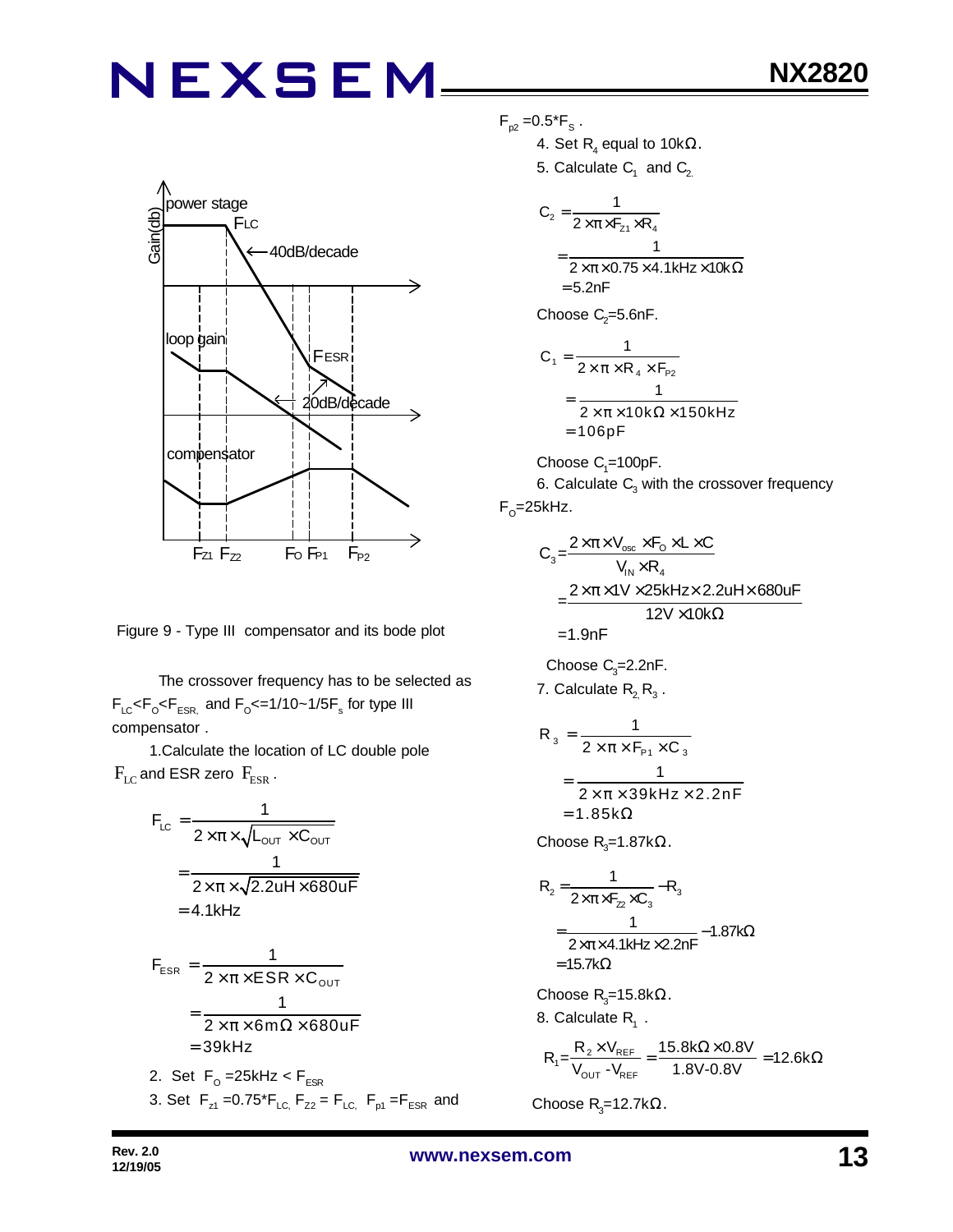

Figure 9 - Type III compensator and its bode plot

 The crossover frequency has to be selected as  $F_{LC}$ < $F_{\rm o}$ < $F_{ESR}$  and  $F_{\rm o}$ <=1/10~1/5 $F_{\rm s}$  for type III compensator .

1.Calculate the location of LC double pole  $F_{LC}$  and ESR zero  $F_{ESR}$ .

$$
F_{LC} = \frac{1}{2 \times \pi \times \sqrt{L_{OUT} \times C_{OUT}}}
$$

$$
= \frac{1}{2 \times \pi \times \sqrt{2.2uH \times 680uF}}
$$

$$
= 4.1kHz
$$

$$
F_{ESR} = \frac{1}{2 \times \pi \times ESR \times C_{OUT}}
$$
  
= 
$$
\frac{1}{2 \times \pi \times 6m\Omega \times 680 \text{uF}}
$$
  
= 39kHz

2. Set F<sub>o</sub>=25kHz<F<sub>ESR</sub> 3. Set  $F_{z1} = 0.75 \cdot F_{LC}$ ,  $F_{z2} = F_{LC}$ ,  $F_{p1} = F_{ESR}$  and

- $F_{p2} = 0.5$ \* $F_{s}$ .
	- 4. Set  $\mathsf{R}_{\scriptscriptstyle 4}$  equal to 10k $\Omega$ .
	- 5. Calculate  $\mathsf{C}_1^{\phantom{\dag}}$  and  $\mathsf{C}_2^{\phantom{\dag}}$

$$
C_2 = \frac{1}{2 \times \pi \times F_{z1} \times R_4}
$$
  
= 
$$
\frac{1}{2 \times \pi \times 0.75 \times 4.1 \text{kHz} \times 10 \text{k}\Omega}
$$
  
= 5.2nF

Choose  $\mathrm{C}_2$ =5.6nF.

$$
C_1 = \frac{1}{2 \times \pi \times R_4 \times F_{P2}}
$$
  
= 
$$
\frac{1}{2 \times \pi \times 10k\Omega \times 150kHz}
$$
  
= 106pF

Choose  $C_1$ =100pF.

6. Calculate  $\mathsf{C}_{\scriptscriptstyle{3}}$  with the crossover frequency F<sub>o</sub>=25kHz.

$$
C_3 = \frac{2 \times \pi \times V_{osc} \times F_0 \times L \times C}{V_{IN} \times R_4}
$$
  
= 
$$
\frac{2 \times \pi \times 10^{1} \times 25 \text{ kHz} \times 2.2 \text{ uH} \times 680 \text{ uF}}{12 \text{ V} \times 10 \text{k}\Omega}
$$
  
= 1.9nF

Choose  $C_3 = 2.2nF$ . 7. Calculate  $\mathsf{R}_{\mathsf{2}\mathsf{}}\,\mathsf{R}_{\mathsf{3}\mathsf{}}$  .

$$
R_3 = \frac{1}{2 \times \pi \times F_{P1} \times C_3}
$$
  
= 
$$
\frac{1}{2 \times \pi \times 39kHz \times 2.2nF}
$$
  
= 1.85kΩ

Choose R<sub>3</sub>=1.87k $\Omega$ .

$$
R_{2} = \frac{1}{2 \times \pi \times F_{22} \times C_{3}} - R_{3}
$$
  
=  $\frac{1}{2 \times \pi \times 4.1 \text{kHz} \times 2.2 \text{nF}} - 1.87 \text{k}\Omega$   
= 15.7 k $\Omega$ 

Choose R<sub>3</sub>=15.8kΩ. 8. Calculate  $R_1$ .

$$
R_1 = \frac{R_2 \times V_{REF}}{V_{OUT} - V_{REF}} = \frac{15.8 k\Omega \times 0.8 V}{1.8 V - 0.8 V} = 12.6 k\Omega
$$

Choose  $R$ <sub>3</sub>=12.7kΩ.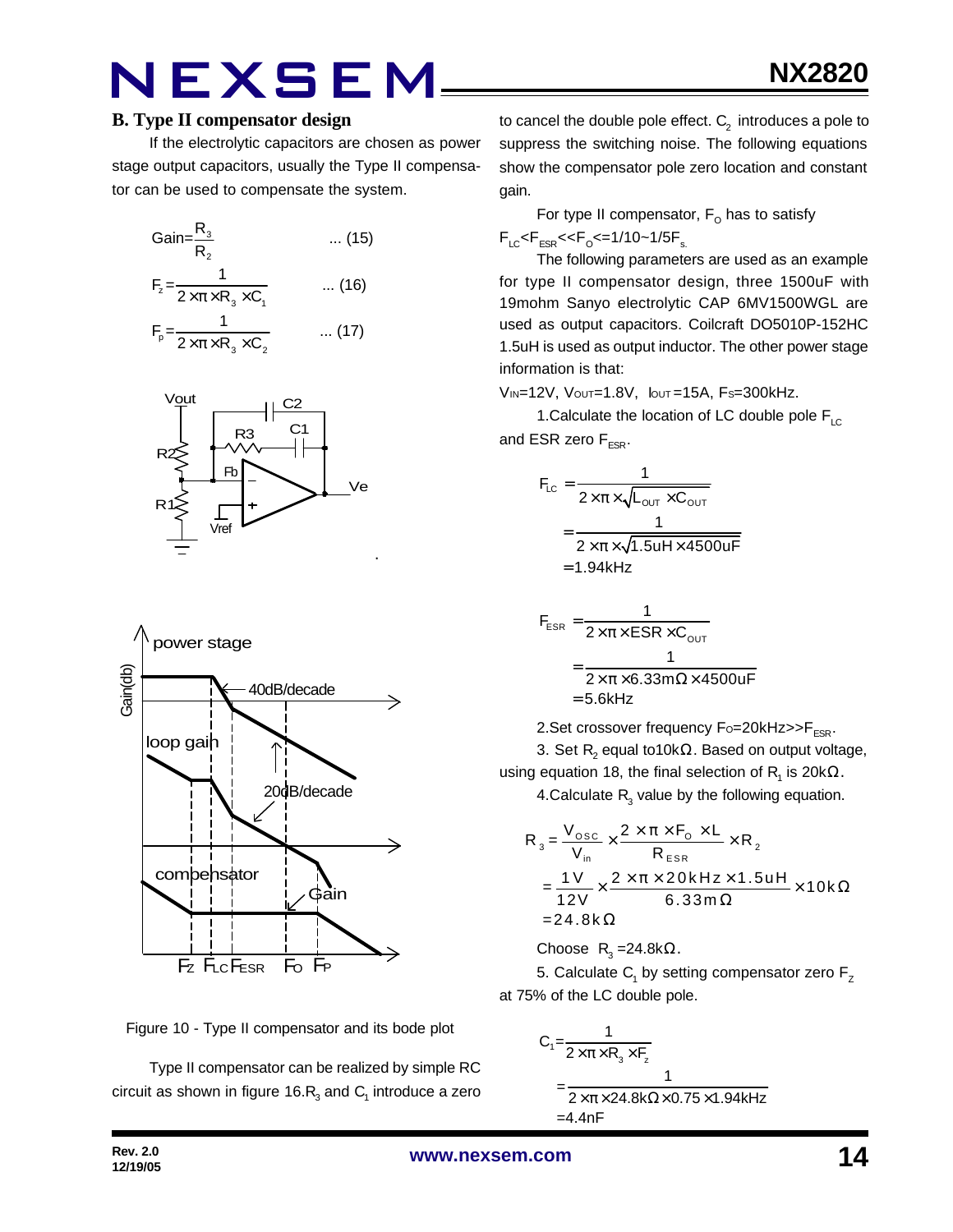#### **B. Type II compensator design**

If the electrolytic capacitors are chosen as power stage output capacitors, usually the Type II compensator can be used to compensate the system.

Gain=
$$
\frac{R_3}{R_2}
$$
 ... (15)  
\n
$$
F_z = \frac{1}{2 \times \pi \times R_3 \times C_1}
$$
 ... (16)  
\n
$$
F_p = \frac{1}{2 \times \pi \times R_3 \times C_2}
$$
 ... (17)







Type II compensator can be realized by simple RC circuit as shown in figure 16. $\mathsf{R}_{_{\!3}}$  and  $\mathsf{C}_{_{\!1}}$  introduce a zero

to cancel the double pole effect.  $\mathsf{C}_2^{\phantom{\prime}}$  introduces a pole to suppress the switching noise. The following equations show the compensator pole zero location and constant gain.

For type II compensator,  $\mathsf{F}_\mathsf{O}$  has to satisfy  $F_{LC}$ < $F_{ESR}$ << $F_{O}$ <=1/10~1/5 $F_{s.}$ 

The following parameters are used as an example for type II compensator design, three 1500uF with 19mohm Sanyo electrolytic CAP 6MV1500WGL are used as output capacitors. Coilcraft DO5010P-152HC 1.5uH is used as output inductor. The other power stage information is that:

VIN=12V, VOUT=1.8V, IOUT =15A, FS=300kHz.

1. Calculate the location of LC double pole  $F_{\text{LC}}$ and ESR zero  $F_{ESR}$ .

$$
F_{LC} = \frac{1}{2 \times \pi \times \sqrt{L_{OUT} \times C_{OUT}}}
$$
  
= 
$$
\frac{1}{2 \times \pi \times \sqrt{1.5uH \times 4500uF}}
$$
  
= 1.94kHz

$$
F_{ESR} = \frac{1}{2 \times \pi \times ESR \times C_{OUT}}
$$

$$
= \frac{1}{2 \times \pi \times 6.33 \text{ m}\Omega \times 4500 \text{ uF}}
$$

$$
= 5.6 \text{kHz}
$$

2. Set crossover frequency  $F_0 = 20k$ Hz $>>$ F<sub>ESR</sub>.

3. Set  $\mathsf{R}_{\mathsf{2}}$  equal to10k $\Omega.$  Based on output voltage, using equation 18, the final selection of  $\mathsf{R}_{\mathsf{1}}$  is 20k $\Omega.$ 

4.Calculate  $R_{3}$  value by the following equation.

$$
R_{3} = \frac{V_{\text{osc}}}{V_{\text{in}}} \times \frac{2 \times \pi \times F_{\text{o}} \times L}{R_{\text{ESR}}} \times R_{2}
$$
  
= 
$$
\frac{1 V}{12 V} \times \frac{2 \times \pi \times 20 k H z \times 1.5 u H}{6.33 m \Omega} \times 10 k \Omega
$$
  
= 24.8 k $\Omega$ 

Choose  $R_3 = 24.8$ k $\Omega$ .

5. Calculate  $\mathsf{C}_\mathsf{1}$  by setting compensator zero  $\mathsf{F}_\mathsf{Z}$ at 75% of the LC double pole.

$$
C_1 = \frac{1}{2 \times \pi \times R_3 \times F_z}
$$
  
= 
$$
\frac{1}{2 \times \pi \times 24.8k\Omega \times 0.75 \times 1.94kHz}
$$
  
= 4.4nF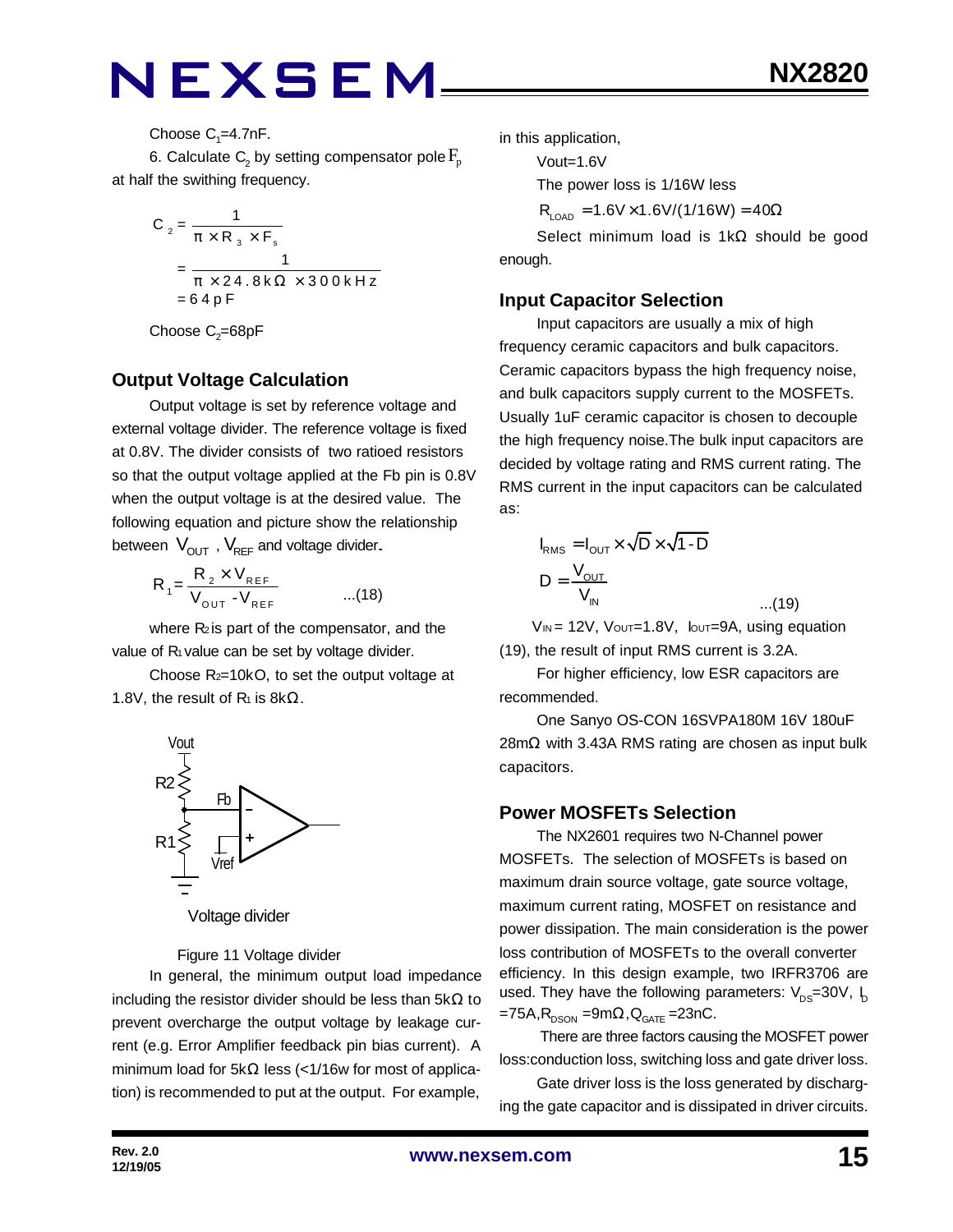Choose  $C_1 = 4.7$ nF.

6. Calculate  $\mathsf{C}_\text{2}$  by setting compensator pole  $\mathrm{F}_{\text{p}}$ at half the swithing frequency.

$$
C_2 = \frac{1}{\pi \times R_3 \times F_s}
$$
  
= 
$$
\frac{1}{\pi \times 24.8 \text{ k}\Omega \times 300 \text{ kHz}}
$$
  
= 64 pF

Choose  $\mathrm{C}_2$ =68pF

#### **Output Voltage Calculation**

Output voltage is set by reference voltage and external voltage divider. The reference voltage is fixed at 0.8V. The divider consists of two ratioed resistors so that the output voltage applied at the Fb pin is 0.8V when the output voltage is at the desired value. The following equation and picture show the relationship between  $V_{\text{OUT}}$ ,  $V_{\text{REF}}$  and voltage divider.

$$
R_{1} = \frac{R_{2} \times V_{REF}}{V_{OUT} - V_{REF}} \qquad ...(18)
$$

where  $R_2$  is part of the compensator, and the value of  $R_1$  value can be set by voltage divider.

Choose R2=10kO, to set the output voltage at 1.8V, the result of  $R_1$  is 8k $\Omega$ .



Voltage divider

Figure 11 Voltage divider

In general, the minimum output load impedance including the resistor divider should be less than  $5k\Omega$  to prevent overcharge the output voltage by leakage current (e.g. Error Amplifier feedback pin bias current). A minimum load for 5kΩ less (<1/16w for most of application) is recommended to put at the output. For example,

in this application,

Vout=1.6V

The power loss is 1/16W less

 $R_{\text{LOAD}} = 1.6V \times 1.6V/(1/16W) = 40\Omega$ 

Select minimum load is 1kΩ should be good enough.

#### **Input Capacitor Selection**

Input capacitors are usually a mix of high frequency ceramic capacitors and bulk capacitors. Ceramic capacitors bypass the high frequency noise, and bulk capacitors supply current to the MOSFETs. Usually 1uF ceramic capacitor is chosen to decouple the high frequency noise.The bulk input capacitors are decided by voltage rating and RMS current rating. The RMS current in the input capacitors can be calculated as:

$$
I_{\text{RMS}} = I_{\text{OUT}} \times \sqrt{D} \times \sqrt{1 - D}
$$

$$
D = \frac{V_{\text{OUT}}}{V_{\text{IN}}}
$$

 $V_{IN}$  = 12V,  $V_{OUT}=1.8V$ ,  $I_{OUT}=9A$ , using equation (19), the result of input RMS current is 3.2A.

...(19)

For higher efficiency, low ESR capacitors are recommended.

One Sanyo OS-CON 16SVPA180M 16V 180uF 28mΩ with 3.43A RMS rating are chosen as input bulk capacitors.

### **Power MOSFETs Selection**

The NX2601 requires two N-Channel power MOSFETs. The selection of MOSFETs is based on maximum drain source voltage, gate source voltage, maximum current rating, MOSFET on resistance and power dissipation. The main consideration is the power loss contribution of MOSFETs to the overall converter efficiency. In this design example, two IRFR3706 are used. They have the following parameters:  $V_{DS}=30V$ ,  $I_D$ =75A, $R_{_{\rm DSON}}$  =9m $\Omega$ , $Q_{_{\rm GATE}}$  =23nC.

 There are three factors causing the MOSFET power loss:conduction loss, switching loss and gate driver loss.

Gate driver loss is the loss generated by discharging the gate capacitor and is dissipated in driver circuits.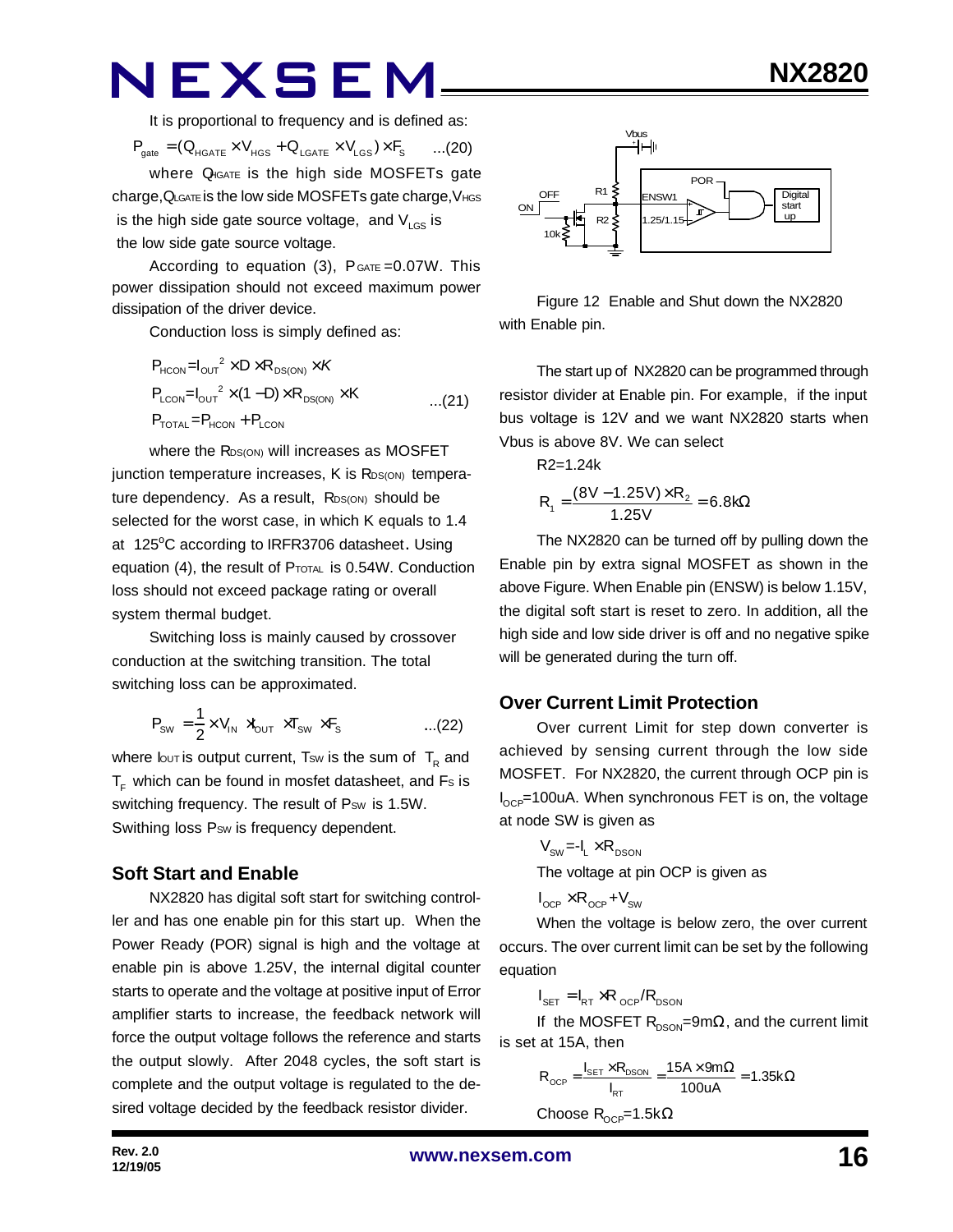It is proportional to frequency and is defined as:

 $P_{\text{gate}} = (Q_{\text{HGATE}} \times V_{\text{HGS}} + Q_{\text{LGATE}} \times V_{\text{LGS}}) \times F_{\text{S}}$  ...(20)

where Q<sub>IGATE</sub> is the high side MOSFETs gate charge,QLGATE is the low side MOSFETs gate charge,VHGS is the high side gate source voltage, and  $V_{\text{LGS}}$  is the low side gate source voltage.

According to equation  $(3)$ ,  $P_{GATE} = 0.07W$ . This power dissipation should not exceed maximum power dissipation of the driver device.

Conduction loss is simply defined as:

$$
P_{HCON} = I_{OUT}^2 \times D \times R_{DS(ON)} \times K
$$
  
\n
$$
P_{LCDN} = I_{OUT}^2 \times (1 - D) \times R_{DS(ON)} \times K
$$
...(21)  
\n
$$
P_{TOTAL} = P_{HCON} + P_{LCDN}
$$

where the RDS(ON) will increases as MOSFET junction temperature increases, K is R<sub>DS(ON)</sub> temperature dependency. As a result, RDS(ON) should be selected for the worst case, in which K equals to 1.4 at 125°C according to IRFR3706 datasheet. Using equation (4), the result of PTOTAL is 0.54W. Conduction loss should not exceed package rating or overall system thermal budget.

Switching loss is mainly caused by crossover conduction at the switching transition. The total switching loss can be approximated.

$$
P_{\text{SW}} = \frac{1}{2} \times V_{\text{IN}} \rtimes_{\text{OUT}} \times T_{\text{SW}} \times F_{\text{s}} \qquad \qquad \dots (22)
$$

where lout is output current, Tsw is the sum of  $\, {\sf T}_{\sf R} \,$  and  $T<sub>F</sub>$  which can be found in mosfet datasheet, and Fs is switching frequency. The result of Psw is 1.5W. Swithing loss P<sub>SW</sub> is frequency dependent.

#### **Soft Start and Enable**

NX2820 has digital soft start for switching controller and has one enable pin for this start up. When the Power Ready (POR) signal is high and the voltage at enable pin is above 1.25V, the internal digital counter starts to operate and the voltage at positive input of Error amplifier starts to increase, the feedback network will force the output voltage follows the reference and starts the output slowly. After 2048 cycles, the soft start is complete and the output voltage is regulated to the desired voltage decided by the feedback resistor divider.



Figure 12 Enable and Shut down the NX2820 with Enable pin.

The start up of NX2820 can be programmed through resistor divider at Enable pin. For example, if the input bus voltage is 12V and we want NX2820 starts when Vbus is above 8V. We can select

$$
R2=1.24k
$$

$$
R_1 = \frac{(8V - 1.25V) \times R_2}{1.25V} = 6.8k\Omega
$$

The NX2820 can be turned off by pulling down the Enable pin by extra signal MOSFET as shown in the above Figure. When Enable pin (ENSW) is below 1.15V, the digital soft start is reset to zero. In addition, all the high side and low side driver is off and no negative spike will be generated during the turn off.

#### **Over Current Limit Protection**

Over current Limit for step down converter is achieved by sensing current through the low side MOSFET. For NX2820, the current through OCP pin is  $I_{\text{OCP}}$ =100uA. When synchronous FET is on, the voltage at node SW is given as

$$
V_{\text{sw}} = -I_{L} \times R_{\text{DSON}}
$$
  
The voltage at pin OCP is given as

$$
I_{\text{OCP}} \times R_{\text{OCP}} + V_{\text{SW}}
$$

When the voltage is below zero, the over current occurs. The over current limit can be set by the following equation

$$
I_{\text{SET}} = I_{\text{RT}} \times R_{\text{OCP}} / R_{\text{DSON}}
$$

If the MOSFET  $R_{DSON}$ =9m $\Omega$ , and the current limit is set at 15A, then

$$
R_{OCP} = \frac{I_{SET} \times R_{DSON}}{I_{RT}} = \frac{15A \times 9m\Omega}{100uA} = 1.35k\Omega
$$

Choose  $R_{OCP} = 1.5k\Omega$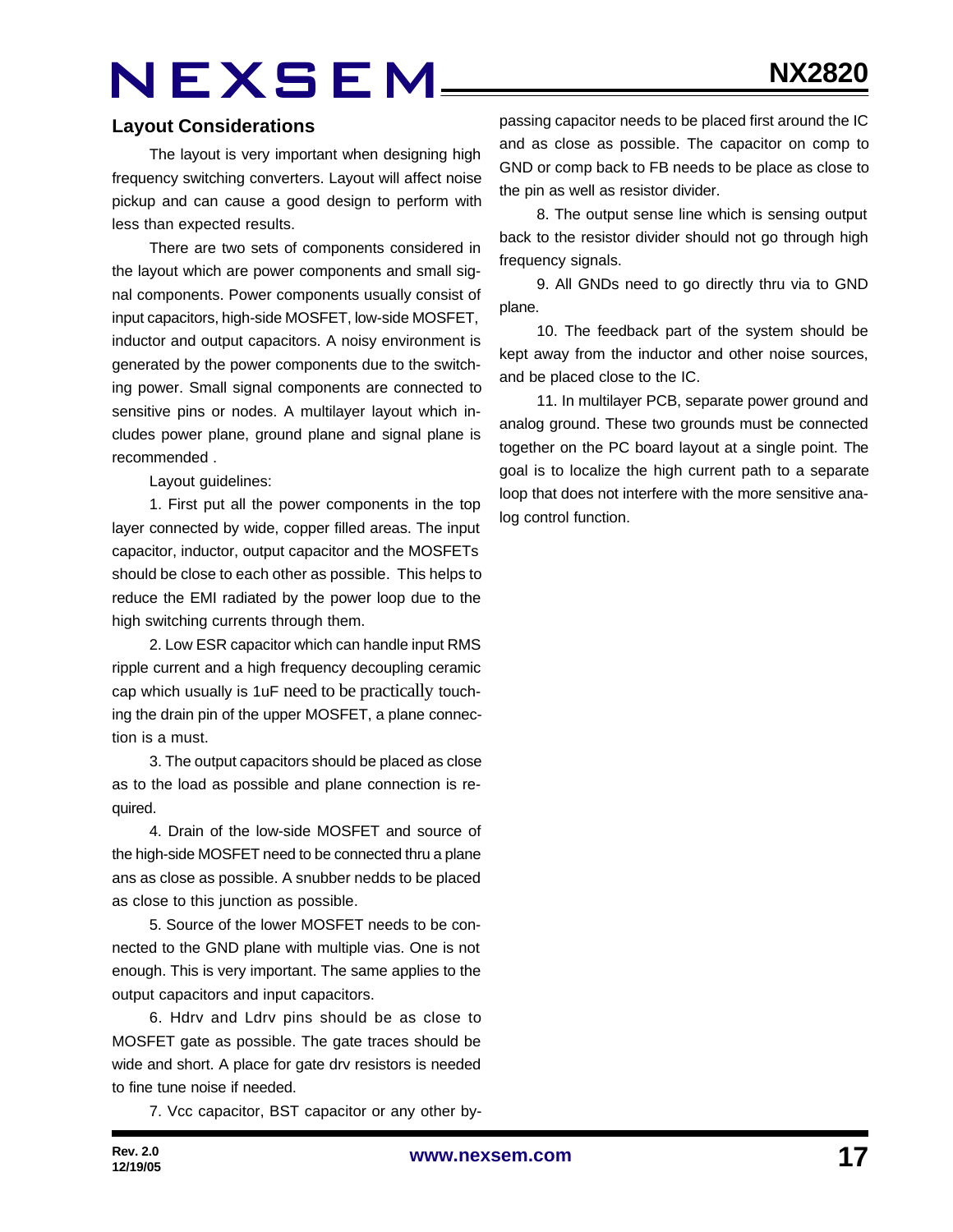#### **Layout Considerations**

The layout is very important when designing high frequency switching converters. Layout will affect noise pickup and can cause a good design to perform with less than expected results.

There are two sets of components considered in the layout which are power components and small signal components. Power components usually consist of input capacitors, high-side MOSFET, low-side MOSFET, inductor and output capacitors. A noisy environment is generated by the power components due to the switching power. Small signal components are connected to sensitive pins or nodes. A multilayer layout which includes power plane, ground plane and signal plane is recommended .

Layout guidelines:

1. First put all the power components in the top layer connected by wide, copper filled areas. The input capacitor, inductor, output capacitor and the MOSFETs should be close to each other as possible. This helps to reduce the EMI radiated by the power loop due to the high switching currents through them.

2. Low ESR capacitor which can handle input RMS ripple current and a high frequency decoupling ceramic cap which usually is 1uF need to be practically touching the drain pin of the upper MOSFET, a plane connection is a must.

3. The output capacitors should be placed as close as to the load as possible and plane connection is required.

4. Drain of the low-side MOSFET and source of the high-side MOSFET need to be connected thru a plane ans as close as possible. A snubber nedds to be placed as close to this junction as possible.

5. Source of the lower MOSFET needs to be connected to the GND plane with multiple vias. One is not enough. This is very important. The same applies to the output capacitors and input capacitors.

6. Hdrv and Ldrv pins should be as close to MOSFET gate as possible. The gate traces should be wide and short. A place for gate drv resistors is needed to fine tune noise if needed.

7. Vcc capacitor, BST capacitor or any other by-

passing capacitor needs to be placed first around the IC and as close as possible. The capacitor on comp to GND or comp back to FB needs to be place as close to the pin as well as resistor divider.

8. The output sense line which is sensing output back to the resistor divider should not go through high frequency signals.

9. All GNDs need to go directly thru via to GND plane.

10. The feedback part of the system should be kept away from the inductor and other noise sources, and be placed close to the IC.

11. In multilayer PCB, separate power ground and analog ground. These two grounds must be connected together on the PC board layout at a single point. The goal is to localize the high current path to a separate loop that does not interfere with the more sensitive analog control function.